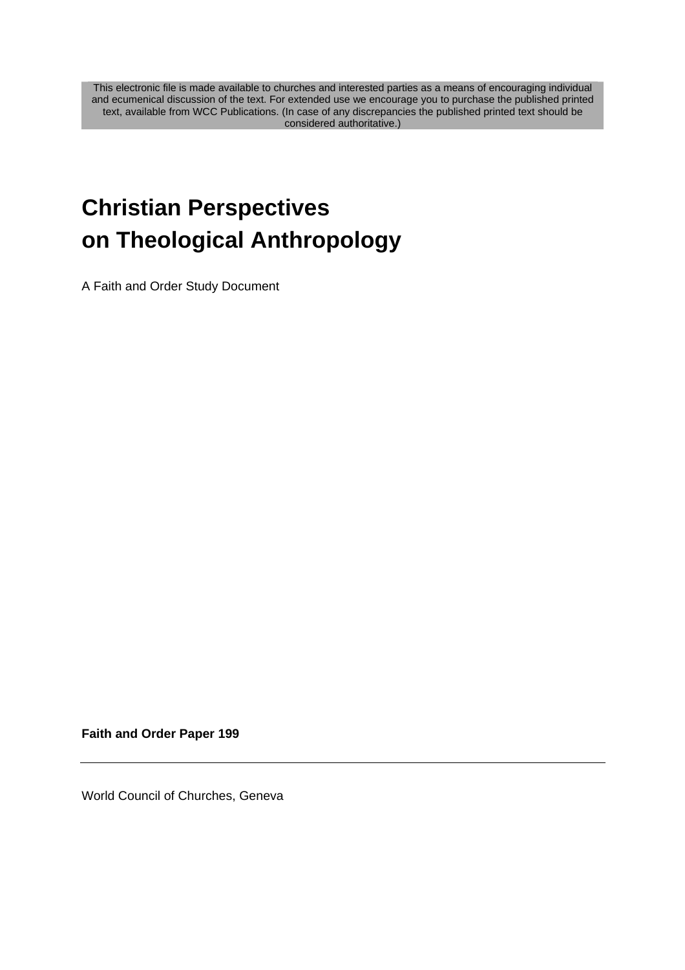This electronic file is made available to churches and interested parties as a means of encouraging individual and ecumenical discussion of the text. For extended use we encourage you to purchase the published printed text, available from WCC Publications. (In case of any discrepancies the published printed text should be considered authoritative.)

# **Christian Perspectives on Theological Anthropology**

A Faith and Order Study Document

**Faith and Order Paper 199** 

World Council of Churches, Geneva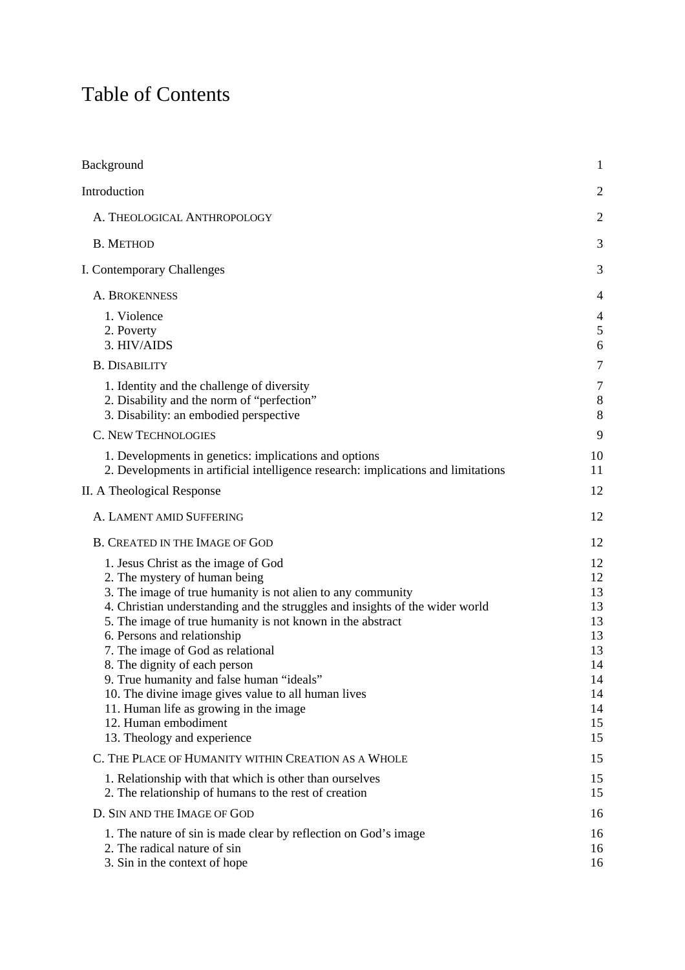## Table of Contents

| Background                                                                                                                                                                                                                                                                                                                                                                                                                                                                                                                                                                                  | $\mathbf{1}$                                                               |
|---------------------------------------------------------------------------------------------------------------------------------------------------------------------------------------------------------------------------------------------------------------------------------------------------------------------------------------------------------------------------------------------------------------------------------------------------------------------------------------------------------------------------------------------------------------------------------------------|----------------------------------------------------------------------------|
| Introduction                                                                                                                                                                                                                                                                                                                                                                                                                                                                                                                                                                                | $\overline{2}$                                                             |
| A. THEOLOGICAL ANTHROPOLOGY                                                                                                                                                                                                                                                                                                                                                                                                                                                                                                                                                                 | $\overline{2}$                                                             |
| <b>B. METHOD</b>                                                                                                                                                                                                                                                                                                                                                                                                                                                                                                                                                                            | 3                                                                          |
| I. Contemporary Challenges                                                                                                                                                                                                                                                                                                                                                                                                                                                                                                                                                                  | 3                                                                          |
| A. BROKENNESS                                                                                                                                                                                                                                                                                                                                                                                                                                                                                                                                                                               | 4                                                                          |
| 1. Violence<br>2. Poverty<br>3. HIV/AIDS                                                                                                                                                                                                                                                                                                                                                                                                                                                                                                                                                    | 4<br>5<br>6                                                                |
| <b>B. DISABILITY</b>                                                                                                                                                                                                                                                                                                                                                                                                                                                                                                                                                                        | $\overline{7}$                                                             |
| 1. Identity and the challenge of diversity<br>2. Disability and the norm of "perfection"<br>3. Disability: an embodied perspective                                                                                                                                                                                                                                                                                                                                                                                                                                                          | 7<br>8<br>8                                                                |
| <b>C. NEW TECHNOLOGIES</b>                                                                                                                                                                                                                                                                                                                                                                                                                                                                                                                                                                  | 9                                                                          |
| 1. Developments in genetics: implications and options<br>2. Developments in artificial intelligence research: implications and limitations                                                                                                                                                                                                                                                                                                                                                                                                                                                  | 10<br>11                                                                   |
| II. A Theological Response                                                                                                                                                                                                                                                                                                                                                                                                                                                                                                                                                                  | 12                                                                         |
| A. LAMENT AMID SUFFERING                                                                                                                                                                                                                                                                                                                                                                                                                                                                                                                                                                    | 12                                                                         |
| <b>B. CREATED IN THE IMAGE OF GOD</b>                                                                                                                                                                                                                                                                                                                                                                                                                                                                                                                                                       | 12                                                                         |
| 1. Jesus Christ as the image of God<br>2. The mystery of human being<br>3. The image of true humanity is not alien to any community<br>4. Christian understanding and the struggles and insights of the wider world<br>5. The image of true humanity is not known in the abstract<br>6. Persons and relationship<br>7. The image of God as relational<br>8. The dignity of each person<br>9. True humanity and false human "ideals"<br>10. The divine image gives value to all human lives<br>11. Human life as growing in the image<br>12. Human embodiment<br>13. Theology and experience | 12<br>12<br>13<br>13<br>13<br>13<br>13<br>14<br>14<br>14<br>14<br>15<br>15 |
| C. THE PLACE OF HUMANITY WITHIN CREATION AS A WHOLE                                                                                                                                                                                                                                                                                                                                                                                                                                                                                                                                         | 15                                                                         |
| 1. Relationship with that which is other than ourselves<br>2. The relationship of humans to the rest of creation                                                                                                                                                                                                                                                                                                                                                                                                                                                                            | 15<br>15                                                                   |
| D. SIN AND THE IMAGE OF GOD                                                                                                                                                                                                                                                                                                                                                                                                                                                                                                                                                                 | 16                                                                         |
| 1. The nature of sin is made clear by reflection on God's image<br>2. The radical nature of sin<br>3. Sin in the context of hope                                                                                                                                                                                                                                                                                                                                                                                                                                                            | 16<br>16<br>16                                                             |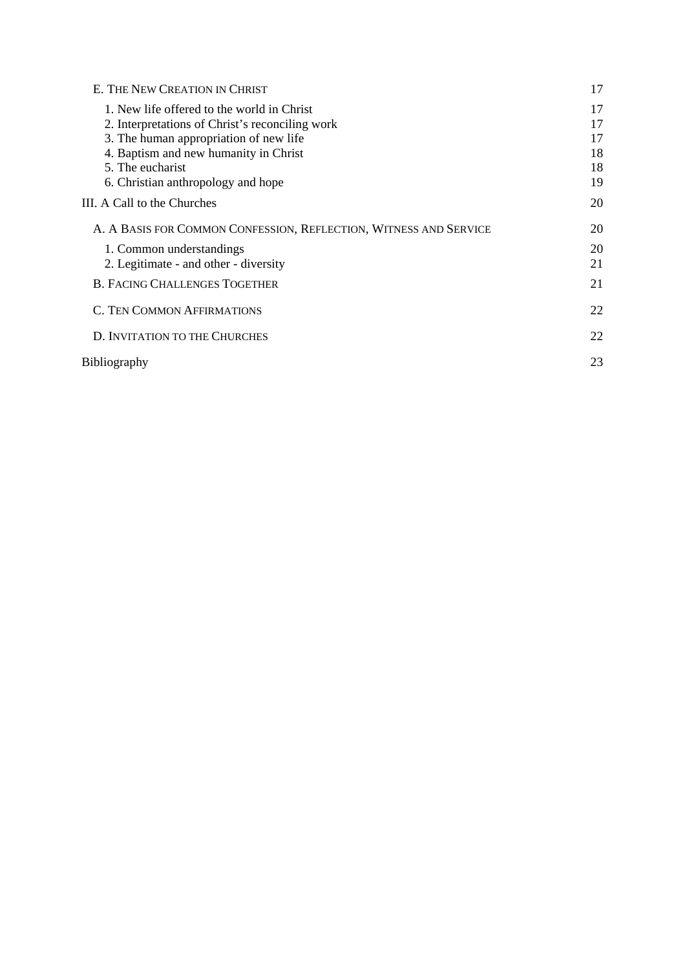| E. THE NEW CREATION IN CHRIST                                     | 17 |
|-------------------------------------------------------------------|----|
| 1. New life offered to the world in Christ                        | 17 |
| 2. Interpretations of Christ's reconciling work                   | 17 |
| 3. The human appropriation of new life                            | 17 |
| 4. Baptism and new humanity in Christ                             | 18 |
| 5. The eucharist                                                  | 18 |
| 6. Christian anthropology and hope                                | 19 |
| III. A Call to the Churches                                       | 20 |
| A. A BASIS FOR COMMON CONFESSION, REFLECTION, WITNESS AND SERVICE | 20 |
| 1. Common understandings                                          | 20 |
| 2. Legitimate - and other - diversity                             | 21 |
| <b>B. FACING CHALLENGES TOGETHER</b>                              | 21 |
| C. TEN COMMON AFFIRMATIONS                                        | 22 |
| D. INVITATION TO THE CHURCHES                                     | 22 |
| <b>Bibliography</b>                                               | 23 |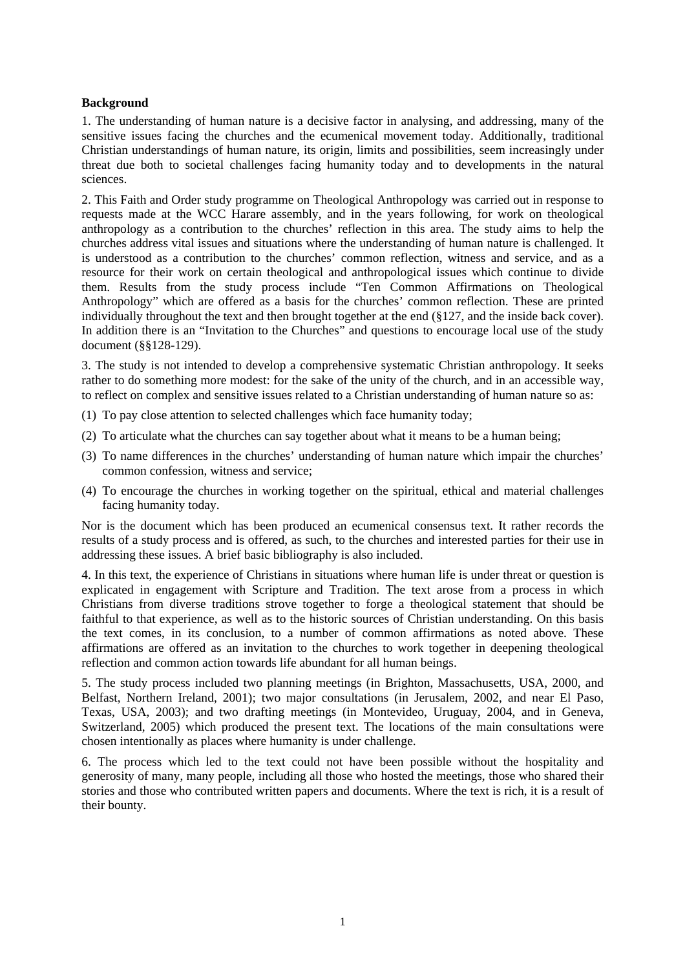## <span id="page-3-0"></span>**Background**

1. The understanding of human nature is a decisive factor in analysing, and addressing, many of the sensitive issues facing the churches and the ecumenical movement today. Additionally, traditional Christian understandings of human nature, its origin, limits and possibilities, seem increasingly under threat due both to societal challenges facing humanity today and to developments in the natural sciences.

2. This Faith and Order study programme on Theological Anthropology was carried out in response to requests made at the WCC Harare assembly, and in the years following, for work on theological anthropology as a contribution to the churches' reflection in this area. The study aims to help the churches address vital issues and situations where the understanding of human nature is challenged. It is understood as a contribution to the churches' common reflection, witness and service, and as a resource for their work on certain theological and anthropological issues which continue to divide them. Results from the study process include "Ten Common Affirmations on Theological Anthropology" which are offered as a basis for the churches' common reflection. These are printed individually throughout the text and then brought together at the end (§127, and the inside back cover). In addition there is an "Invitation to the Churches" and questions to encourage local use of the study document (§§128-129).

3. The study is not intended to develop a comprehensive systematic Christian anthropology. It seeks rather to do something more modest: for the sake of the unity of the church, and in an accessible way, to reflect on complex and sensitive issues related to a Christian understanding of human nature so as:

- (1) To pay close attention to selected challenges which face humanity today;
- (2) To articulate what the churches can say together about what it means to be a human being;
- (3) To name differences in the churches' understanding of human nature which impair the churches' common confession, witness and service;
- (4) To encourage the churches in working together on the spiritual, ethical and material challenges facing humanity today.

Nor is the document which has been produced an ecumenical consensus text. It rather records the results of a study process and is offered, as such, to the churches and interested parties for their use in addressing these issues. A brief basic bibliography is also included.

4. In this text, the experience of Christians in situations where human life is under threat or question is explicated in engagement with Scripture and Tradition. The text arose from a process in which Christians from diverse traditions strove together to forge a theological statement that should be faithful to that experience, as well as to the historic sources of Christian understanding. On this basis the text comes, in its conclusion, to a number of common affirmations as noted above. These affirmations are offered as an invitation to the churches to work together in deepening theological reflection and common action towards life abundant for all human beings.

5. The study process included two planning meetings (in Brighton, Massachusetts, USA, 2000, and Belfast, Northern Ireland, 2001); two major consultations (in Jerusalem, 2002, and near El Paso, Texas, USA, 2003); and two drafting meetings (in Montevideo, Uruguay, 2004, and in Geneva, Switzerland, 2005) which produced the present text. The locations of the main consultations were chosen intentionally as places where humanity is under challenge.

6. The process which led to the text could not have been possible without the hospitality and generosity of many, many people, including all those who hosted the meetings, those who shared their stories and those who contributed written papers and documents. Where the text is rich, it is a result of their bounty.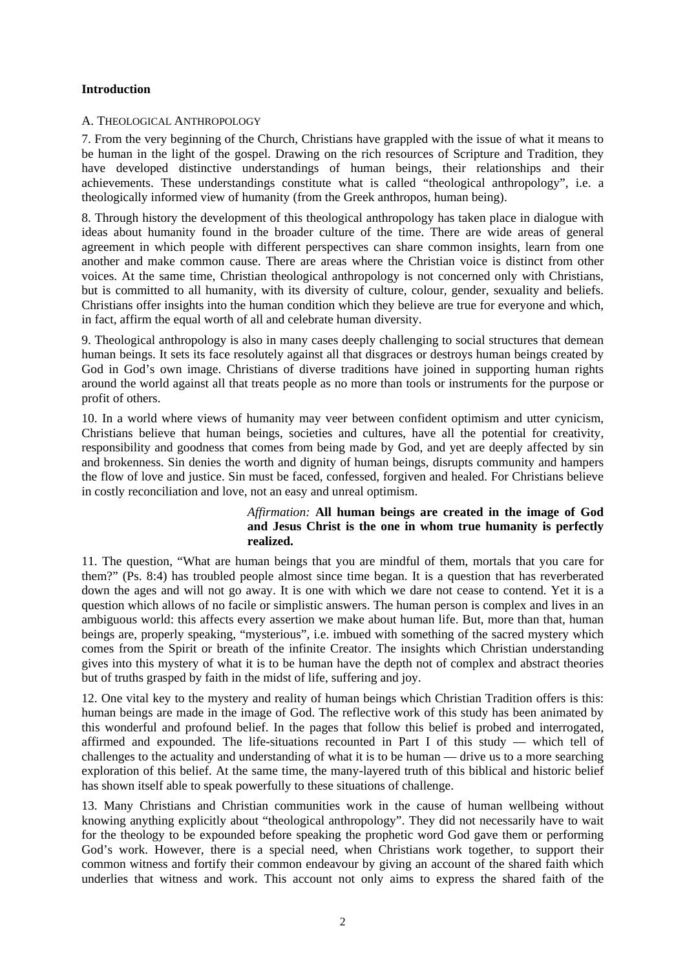## <span id="page-4-0"></span>**Introduction**

### A. THEOLOGICAL ANTHROPOLOGY

7. From the very beginning of the Church, Christians have grappled with the issue of what it means to be human in the light of the gospel. Drawing on the rich resources of Scripture and Tradition, they have developed distinctive understandings of human beings, their relationships and their achievements. These understandings constitute what is called "theological anthropology", i.e. a theologically informed view of humanity (from the Greek anthropos, human being).

8. Through history the development of this theological anthropology has taken place in dialogue with ideas about humanity found in the broader culture of the time. There are wide areas of general agreement in which people with different perspectives can share common insights, learn from one another and make common cause. There are areas where the Christian voice is distinct from other voices. At the same time, Christian theological anthropology is not concerned only with Christians, but is committed to all humanity, with its diversity of culture, colour, gender, sexuality and beliefs. Christians offer insights into the human condition which they believe are true for everyone and which, in fact, affirm the equal worth of all and celebrate human diversity.

9. Theological anthropology is also in many cases deeply challenging to social structures that demean human beings. It sets its face resolutely against all that disgraces or destroys human beings created by God in God's own image. Christians of diverse traditions have joined in supporting human rights around the world against all that treats people as no more than tools or instruments for the purpose or profit of others.

10. In a world where views of humanity may veer between confident optimism and utter cynicism, Christians believe that human beings, societies and cultures, have all the potential for creativity, responsibility and goodness that comes from being made by God, and yet are deeply affected by sin and brokenness. Sin denies the worth and dignity of human beings, disrupts community and hampers the flow of love and justice. Sin must be faced, confessed, forgiven and healed. For Christians believe in costly reconciliation and love, not an easy and unreal optimism.

## *Affirmation:* **All human beings are created in the image of God and Jesus Christ is the one in whom true humanity is perfectly realized.**

11. The question, "What are human beings that you are mindful of them, mortals that you care for them?" (Ps. 8:4) has troubled people almost since time began. It is a question that has reverberated down the ages and will not go away. It is one with which we dare not cease to contend. Yet it is a question which allows of no facile or simplistic answers. The human person is complex and lives in an ambiguous world: this affects every assertion we make about human life. But, more than that, human beings are, properly speaking, "mysterious", i.e. imbued with something of the sacred mystery which comes from the Spirit or breath of the infinite Creator. The insights which Christian understanding gives into this mystery of what it is to be human have the depth not of complex and abstract theories but of truths grasped by faith in the midst of life, suffering and joy.

12. One vital key to the mystery and reality of human beings which Christian Tradition offers is this: human beings are made in the image of God. The reflective work of this study has been animated by this wonderful and profound belief. In the pages that follow this belief is probed and interrogated, affirmed and expounded. The life-situations recounted in Part I of this study — which tell of challenges to the actuality and understanding of what it is to be human — drive us to a more searching exploration of this belief. At the same time, the many-layered truth of this biblical and historic belief has shown itself able to speak powerfully to these situations of challenge.

13. Many Christians and Christian communities work in the cause of human wellbeing without knowing anything explicitly about "theological anthropology". They did not necessarily have to wait for the theology to be expounded before speaking the prophetic word God gave them or performing God's work. However, there is a special need, when Christians work together, to support their common witness and fortify their common endeavour by giving an account of the shared faith which underlies that witness and work. This account not only aims to express the shared faith of the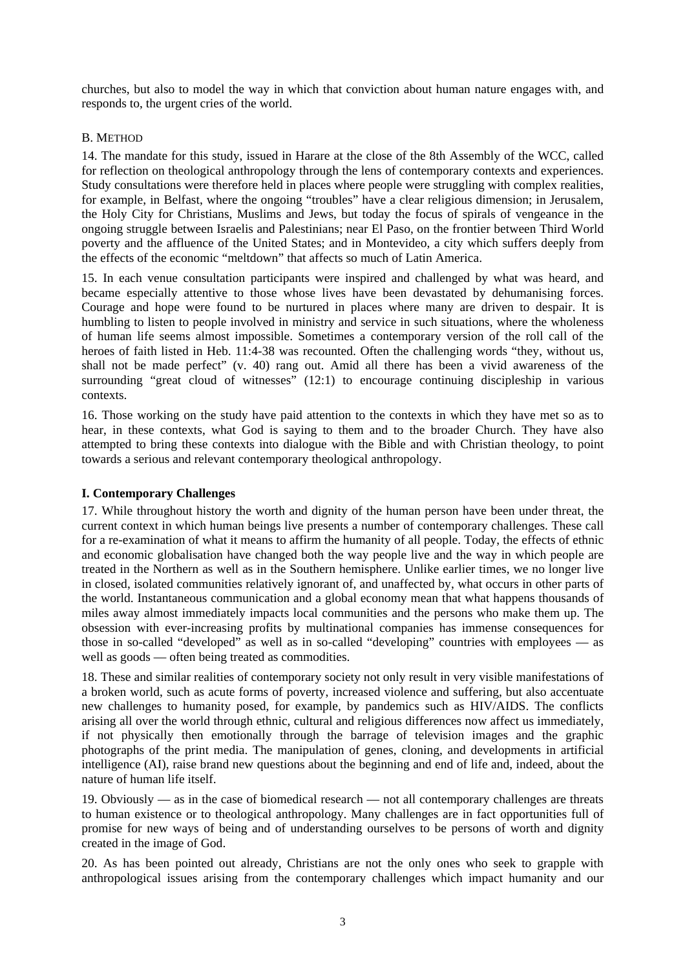<span id="page-5-0"></span>churches, but also to model the way in which that conviction about human nature engages with, and responds to, the urgent cries of the world.

## B. METHOD

14. The mandate for this study, issued in Harare at the close of the 8th Assembly of the WCC, called for reflection on theological anthropology through the lens of contemporary contexts and experiences. Study consultations were therefore held in places where people were struggling with complex realities, for example, in Belfast, where the ongoing "troubles" have a clear religious dimension; in Jerusalem, the Holy City for Christians, Muslims and Jews, but today the focus of spirals of vengeance in the ongoing struggle between Israelis and Palestinians; near El Paso, on the frontier between Third World poverty and the affluence of the United States; and in Montevideo, a city which suffers deeply from the effects of the economic "meltdown" that affects so much of Latin America.

15. In each venue consultation participants were inspired and challenged by what was heard, and became especially attentive to those whose lives have been devastated by dehumanising forces. Courage and hope were found to be nurtured in places where many are driven to despair. It is humbling to listen to people involved in ministry and service in such situations, where the wholeness of human life seems almost impossible. Sometimes a contemporary version of the roll call of the heroes of faith listed in Heb. 11:4-38 was recounted. Often the challenging words "they, without us, shall not be made perfect" (v. 40) rang out. Amid all there has been a vivid awareness of the surrounding "great cloud of witnesses" (12:1) to encourage continuing discipleship in various contexts.

16. Those working on the study have paid attention to the contexts in which they have met so as to hear, in these contexts, what God is saying to them and to the broader Church. They have also attempted to bring these contexts into dialogue with the Bible and with Christian theology, to point towards a serious and relevant contemporary theological anthropology.

## **I. Contemporary Challenges**

17. While throughout history the worth and dignity of the human person have been under threat, the current context in which human beings live presents a number of contemporary challenges. These call for a re-examination of what it means to affirm the humanity of all people. Today, the effects of ethnic and economic globalisation have changed both the way people live and the way in which people are treated in the Northern as well as in the Southern hemisphere. Unlike earlier times, we no longer live in closed, isolated communities relatively ignorant of, and unaffected by, what occurs in other parts of the world. Instantaneous communication and a global economy mean that what happens thousands of miles away almost immediately impacts local communities and the persons who make them up. The obsession with ever-increasing profits by multinational companies has immense consequences for those in so-called "developed" as well as in so-called "developing" countries with employees — as well as goods — often being treated as commodities.

18. These and similar realities of contemporary society not only result in very visible manifestations of a broken world, such as acute forms of poverty, increased violence and suffering, but also accentuate new challenges to humanity posed, for example, by pandemics such as HIV/AIDS. The conflicts arising all over the world through ethnic, cultural and religious differences now affect us immediately, if not physically then emotionally through the barrage of television images and the graphic photographs of the print media. The manipulation of genes, cloning, and developments in artificial intelligence (AI), raise brand new questions about the beginning and end of life and, indeed, about the nature of human life itself.

19. Obviously — as in the case of biomedical research — not all contemporary challenges are threats to human existence or to theological anthropology. Many challenges are in fact opportunities full of promise for new ways of being and of understanding ourselves to be persons of worth and dignity created in the image of God.

20. As has been pointed out already, Christians are not the only ones who seek to grapple with anthropological issues arising from the contemporary challenges which impact humanity and our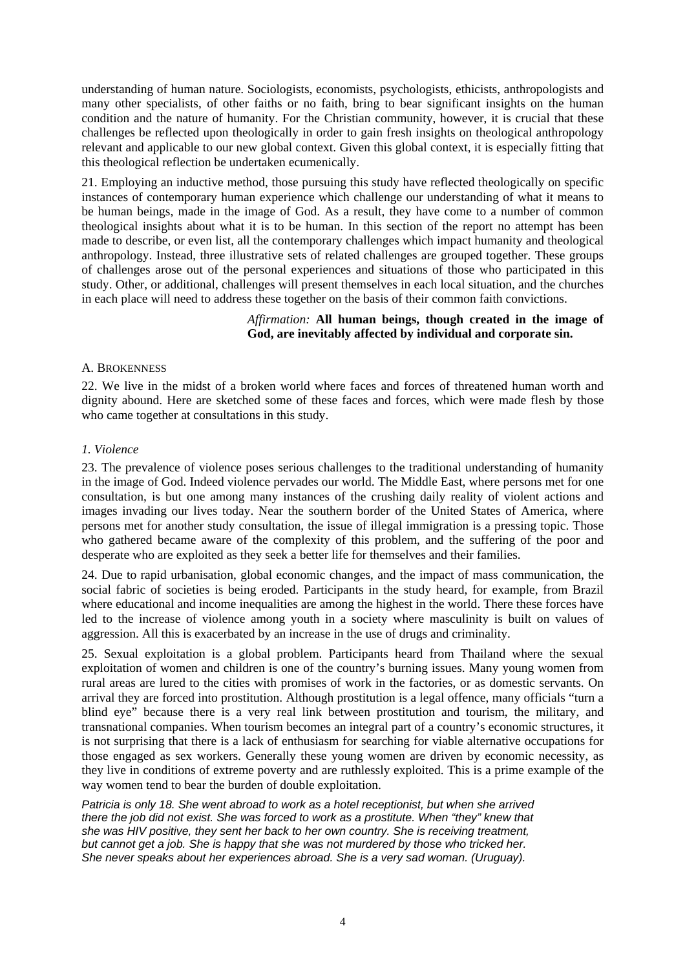<span id="page-6-0"></span>understanding of human nature. Sociologists, economists, psychologists, ethicists, anthropologists and many other specialists, of other faiths or no faith, bring to bear significant insights on the human condition and the nature of humanity. For the Christian community, however, it is crucial that these challenges be reflected upon theologically in order to gain fresh insights on theological anthropology relevant and applicable to our new global context. Given this global context, it is especially fitting that this theological reflection be undertaken ecumenically.

21. Employing an inductive method, those pursuing this study have reflected theologically on specific instances of contemporary human experience which challenge our understanding of what it means to be human beings, made in the image of God. As a result, they have come to a number of common theological insights about what it is to be human. In this section of the report no attempt has been made to describe, or even list, all the contemporary challenges which impact humanity and theological anthropology. Instead, three illustrative sets of related challenges are grouped together. These groups of challenges arose out of the personal experiences and situations of those who participated in this study. Other, or additional, challenges will present themselves in each local situation, and the churches in each place will need to address these together on the basis of their common faith convictions.

#### *Affirmation:* **All human beings, though created in the image of God, are inevitably affected by individual and corporate sin.**

## A. BROKENNESS

22. We live in the midst of a broken world where faces and forces of threatened human worth and dignity abound. Here are sketched some of these faces and forces, which were made flesh by those who came together at consultations in this study.

## *1. Violence*

23. The prevalence of violence poses serious challenges to the traditional understanding of humanity in the image of God. Indeed violence pervades our world. The Middle East, where persons met for one consultation, is but one among many instances of the crushing daily reality of violent actions and images invading our lives today. Near the southern border of the United States of America, where persons met for another study consultation, the issue of illegal immigration is a pressing topic. Those who gathered became aware of the complexity of this problem, and the suffering of the poor and desperate who are exploited as they seek a better life for themselves and their families.

24. Due to rapid urbanisation, global economic changes, and the impact of mass communication, the social fabric of societies is being eroded. Participants in the study heard, for example, from Brazil where educational and income inequalities are among the highest in the world. There these forces have led to the increase of violence among youth in a society where masculinity is built on values of aggression. All this is exacerbated by an increase in the use of drugs and criminality.

25. Sexual exploitation is a global problem. Participants heard from Thailand where the sexual exploitation of women and children is one of the country's burning issues. Many young women from rural areas are lured to the cities with promises of work in the factories, or as domestic servants. On arrival they are forced into prostitution. Although prostitution is a legal offence, many officials "turn a blind eye" because there is a very real link between prostitution and tourism, the military, and transnational companies. When tourism becomes an integral part of a country's economic structures, it is not surprising that there is a lack of enthusiasm for searching for viable alternative occupations for those engaged as sex workers. Generally these young women are driven by economic necessity, as they live in conditions of extreme poverty and are ruthlessly exploited. This is a prime example of the way women tend to bear the burden of double exploitation.

*Patricia is only 18. She went abroad to work as a hotel receptionist, but when she arrived there the job did not exist. She was forced to work as a prostitute. When "they" knew that she was HIV positive, they sent her back to her own country. She is receiving treatment, but cannot get a job. She is happy that she was not murdered by those who tricked her. She never speaks about her experiences abroad. She is a very sad woman. (Uruguay).*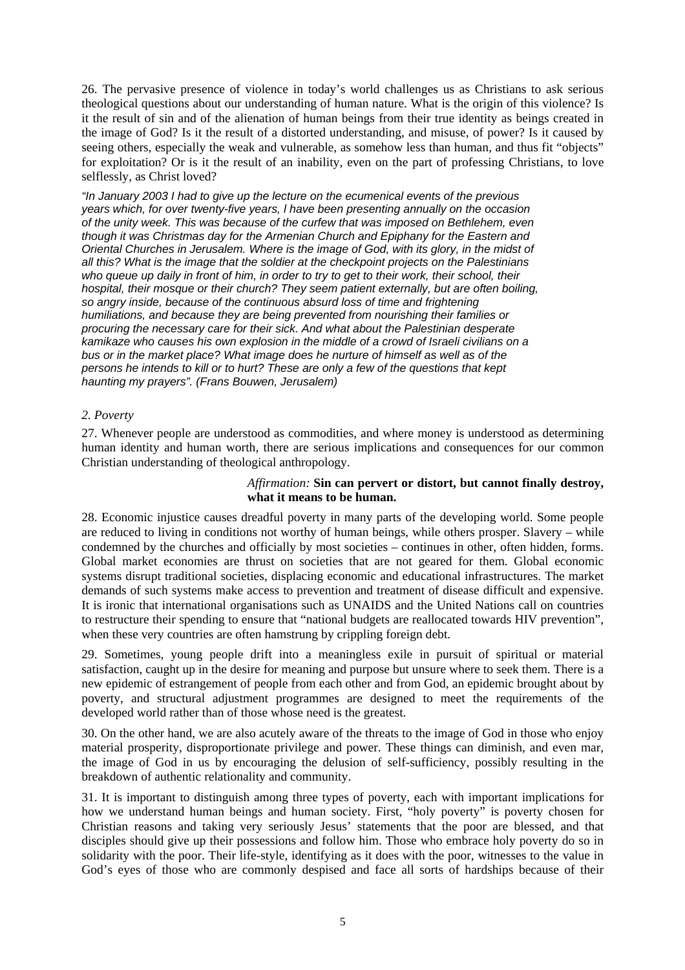<span id="page-7-0"></span>26. The pervasive presence of violence in today's world challenges us as Christians to ask serious theological questions about our understanding of human nature. What is the origin of this violence? Is it the result of sin and of the alienation of human beings from their true identity as beings created in the image of God? Is it the result of a distorted understanding, and misuse, of power? Is it caused by seeing others, especially the weak and vulnerable, as somehow less than human, and thus fit "objects" for exploitation? Or is it the result of an inability, even on the part of professing Christians, to love selflessly, as Christ loved?

*"In January 2003 I had to give up the lecture on the ecumenical events of the previous years which, for over twenty-five years, l have been presenting annually on the occasion of the unity week. This was because of the curfew that was imposed on Bethlehem, even though it was Christmas day for the Armenian Church and Epiphany for the Eastern and Oriental Churches in Jerusalem. Where is the image of God, with its glory, in the midst of all this? What is the image that the soldier at the checkpoint projects on the Palestinians who queue up daily in front of him, in order to try to get to their work, their school, their hospital, their mosque or their church? They seem patient externally, but are often boiling, so angry inside, because of the continuous absurd loss of time and frightening humiliations, and because they are being prevented from nourishing their families or procuring the necessary care for their sick. And what about the Palestinian desperate kamikaze who causes his own explosion in the middle of a crowd of Israeli civilians on a bus or in the market place? What image does he nurture of himself as well as of the persons he intends to kill or to hurt? These are only a few of the questions that kept haunting my prayers". (Frans Bouwen, Jerusalem)*

#### *2. Poverty*

27. Whenever people are understood as commodities, and where money is understood as determining human identity and human worth, there are serious implications and consequences for our common Christian understanding of theological anthropology.

#### *Affirmation:* **Sin can pervert or distort, but cannot finally destroy, what it means to be human.**

28. Economic injustice causes dreadful poverty in many parts of the developing world. Some people are reduced to living in conditions not worthy of human beings, while others prosper. Slavery – while condemned by the churches and officially by most societies – continues in other, often hidden, forms. Global market economies are thrust on societies that are not geared for them. Global economic systems disrupt traditional societies, displacing economic and educational infrastructures. The market demands of such systems make access to prevention and treatment of disease difficult and expensive. It is ironic that international organisations such as UNAIDS and the United Nations call on countries to restructure their spending to ensure that "national budgets are reallocated towards HIV prevention", when these very countries are often hamstrung by crippling foreign debt.

29. Sometimes, young people drift into a meaningless exile in pursuit of spiritual or material satisfaction, caught up in the desire for meaning and purpose but unsure where to seek them. There is a new epidemic of estrangement of people from each other and from God, an epidemic brought about by poverty, and structural adjustment programmes are designed to meet the requirements of the developed world rather than of those whose need is the greatest.

30. On the other hand, we are also acutely aware of the threats to the image of God in those who enjoy material prosperity, disproportionate privilege and power. These things can diminish, and even mar, the image of God in us by encouraging the delusion of self-sufficiency, possibly resulting in the breakdown of authentic relationality and community.

31. It is important to distinguish among three types of poverty, each with important implications for how we understand human beings and human society. First, "holy poverty" is poverty chosen for Christian reasons and taking very seriously Jesus' statements that the poor are blessed, and that disciples should give up their possessions and follow him. Those who embrace holy poverty do so in solidarity with the poor. Their life-style, identifying as it does with the poor, witnesses to the value in God's eyes of those who are commonly despised and face all sorts of hardships because of their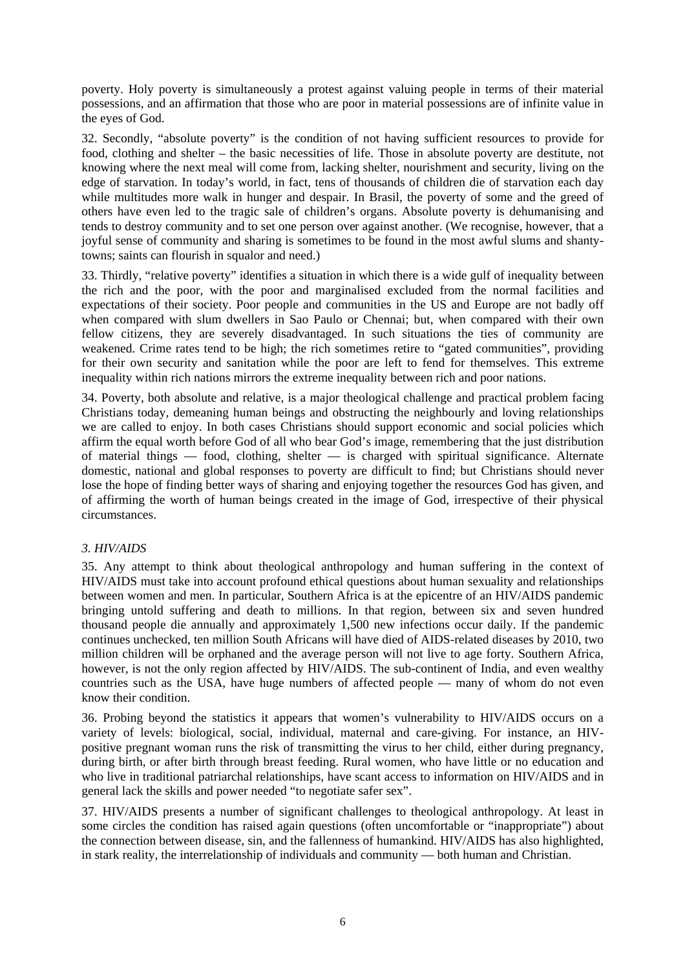<span id="page-8-0"></span>poverty. Holy poverty is simultaneously a protest against valuing people in terms of their material possessions, and an affirmation that those who are poor in material possessions are of infinite value in the eyes of God.

32. Secondly, "absolute poverty" is the condition of not having sufficient resources to provide for food, clothing and shelter – the basic necessities of life. Those in absolute poverty are destitute, not knowing where the next meal will come from, lacking shelter, nourishment and security, living on the edge of starvation. In today's world, in fact, tens of thousands of children die of starvation each day while multitudes more walk in hunger and despair. In Brasil, the poverty of some and the greed of others have even led to the tragic sale of children's organs. Absolute poverty is dehumanising and tends to destroy community and to set one person over against another. (We recognise, however, that a joyful sense of community and sharing is sometimes to be found in the most awful slums and shantytowns; saints can flourish in squalor and need.)

33. Thirdly, "relative poverty" identifies a situation in which there is a wide gulf of inequality between the rich and the poor, with the poor and marginalised excluded from the normal facilities and expectations of their society. Poor people and communities in the US and Europe are not badly off when compared with slum dwellers in Sao Paulo or Chennai; but, when compared with their own fellow citizens, they are severely disadvantaged. In such situations the ties of community are weakened. Crime rates tend to be high; the rich sometimes retire to "gated communities", providing for their own security and sanitation while the poor are left to fend for themselves. This extreme inequality within rich nations mirrors the extreme inequality between rich and poor nations.

34. Poverty, both absolute and relative, is a major theological challenge and practical problem facing Christians today, demeaning human beings and obstructing the neighbourly and loving relationships we are called to enjoy. In both cases Christians should support economic and social policies which affirm the equal worth before God of all who bear God's image, remembering that the just distribution of material things — food, clothing, shelter — is charged with spiritual significance. Alternate domestic, national and global responses to poverty are difficult to find; but Christians should never lose the hope of finding better ways of sharing and enjoying together the resources God has given, and of affirming the worth of human beings created in the image of God, irrespective of their physical circumstances.

## *3. HIV/AIDS*

35. Any attempt to think about theological anthropology and human suffering in the context of HIV/AIDS must take into account profound ethical questions about human sexuality and relationships between women and men. In particular, Southern Africa is at the epicentre of an HIV/AIDS pandemic bringing untold suffering and death to millions. In that region, between six and seven hundred thousand people die annually and approximately 1,500 new infections occur daily. If the pandemic continues unchecked, ten million South Africans will have died of AIDS-related diseases by 2010, two million children will be orphaned and the average person will not live to age forty. Southern Africa, however, is not the only region affected by HIV/AIDS. The sub-continent of India, and even wealthy countries such as the USA, have huge numbers of affected people — many of whom do not even know their condition.

36. Probing beyond the statistics it appears that women's vulnerability to HIV/AIDS occurs on a variety of levels: biological, social, individual, maternal and care-giving. For instance, an HIVpositive pregnant woman runs the risk of transmitting the virus to her child, either during pregnancy, during birth, or after birth through breast feeding. Rural women, who have little or no education and who live in traditional patriarchal relationships, have scant access to information on HIV/AIDS and in general lack the skills and power needed "to negotiate safer sex".

37. HIV/AIDS presents a number of significant challenges to theological anthropology. At least in some circles the condition has raised again questions (often uncomfortable or "inappropriate") about the connection between disease, sin, and the fallenness of humankind. HIV/AIDS has also highlighted, in stark reality, the interrelationship of individuals and community — both human and Christian.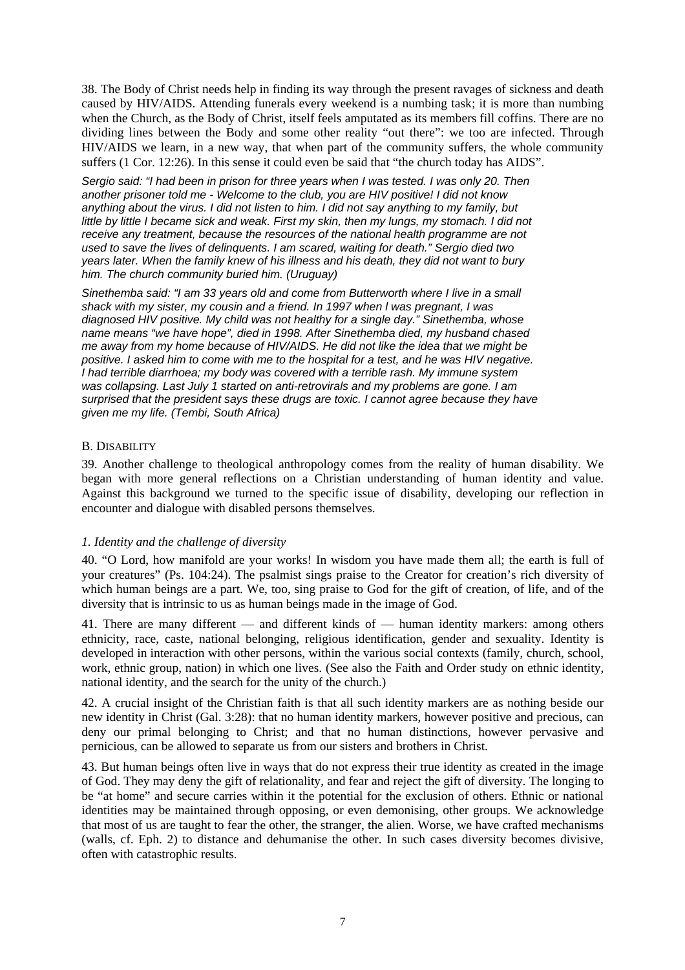<span id="page-9-0"></span>38. The Body of Christ needs help in finding its way through the present ravages of sickness and death caused by HIV/AIDS. Attending funerals every weekend is a numbing task; it is more than numbing when the Church, as the Body of Christ, itself feels amputated as its members fill coffins. There are no dividing lines between the Body and some other reality "out there": we too are infected. Through HIV/AIDS we learn, in a new way, that when part of the community suffers, the whole community suffers (1 Cor. 12:26). In this sense it could even be said that "the church today has AIDS".

*Sergio said: "I had been in prison for three years when I was tested. I was only 20. Then another prisoner told me - Welcome to the club, you are HIV positive! I did not know anything about the virus. I did not listen to him. I did not say anything to my family, but little by little I became sick and weak. First my skin, then my lungs, my stomach. I did not receive any treatment, because the resources of the national health programme are not used to save the lives of delinquents. I am scared, waiting for death." Sergio died two years later. When the family knew of his illness and his death, they did not want to bury him. The church community buried him. (Uruguay)* 

*Sinethemba said: "I am 33 years old and come from Butterworth where I live in a small shack with my sister, my cousin and a friend. In 1997 when l was pregnant, I was diagnosed HIV positive. My child was not healthy for a single day." Sinethemba, whose name means "we have hope", died in 1998. After Sinethemba died, my husband chased me away from my home because of HIV/AIDS. He did not like the idea that we might be positive. I asked him to come with me to the hospital for a test, and he was HIV negative. I had terrible diarrhoea; my body was covered with a terrible rash. My immune system was collapsing. Last July 1 started on anti-retrovirals and my problems are gone. I am surprised that the president says these drugs are toxic. I cannot agree because they have given me my life. (Tembi, South Africa)*

## B. DISABILITY

39. Another challenge to theological anthropology comes from the reality of human disability. We began with more general reflections on a Christian understanding of human identity and value. Against this background we turned to the specific issue of disability, developing our reflection in encounter and dialogue with disabled persons themselves.

## *1. Identity and the challenge of diversity*

40. "O Lord, how manifold are your works! In wisdom you have made them all; the earth is full of your creatures" (Ps. 104:24). The psalmist sings praise to the Creator for creation's rich diversity of which human beings are a part. We, too, sing praise to God for the gift of creation, of life, and of the diversity that is intrinsic to us as human beings made in the image of God.

41. There are many different — and different kinds of — human identity markers: among others ethnicity, race, caste, national belonging, religious identification, gender and sexuality. Identity is developed in interaction with other persons, within the various social contexts (family, church, school, work, ethnic group, nation) in which one lives. (See also the Faith and Order study on ethnic identity, national identity, and the search for the unity of the church.)

42. A crucial insight of the Christian faith is that all such identity markers are as nothing beside our new identity in Christ (Gal. 3:28): that no human identity markers, however positive and precious, can deny our primal belonging to Christ; and that no human distinctions, however pervasive and pernicious, can be allowed to separate us from our sisters and brothers in Christ.

43. But human beings often live in ways that do not express their true identity as created in the image of God. They may deny the gift of relationality, and fear and reject the gift of diversity. The longing to be "at home" and secure carries within it the potential for the exclusion of others. Ethnic or national identities may be maintained through opposing, or even demonising, other groups. We acknowledge that most of us are taught to fear the other, the stranger, the alien. Worse, we have crafted mechanisms (walls, cf. Eph. 2) to distance and dehumanise the other. In such cases diversity becomes divisive, often with catastrophic results.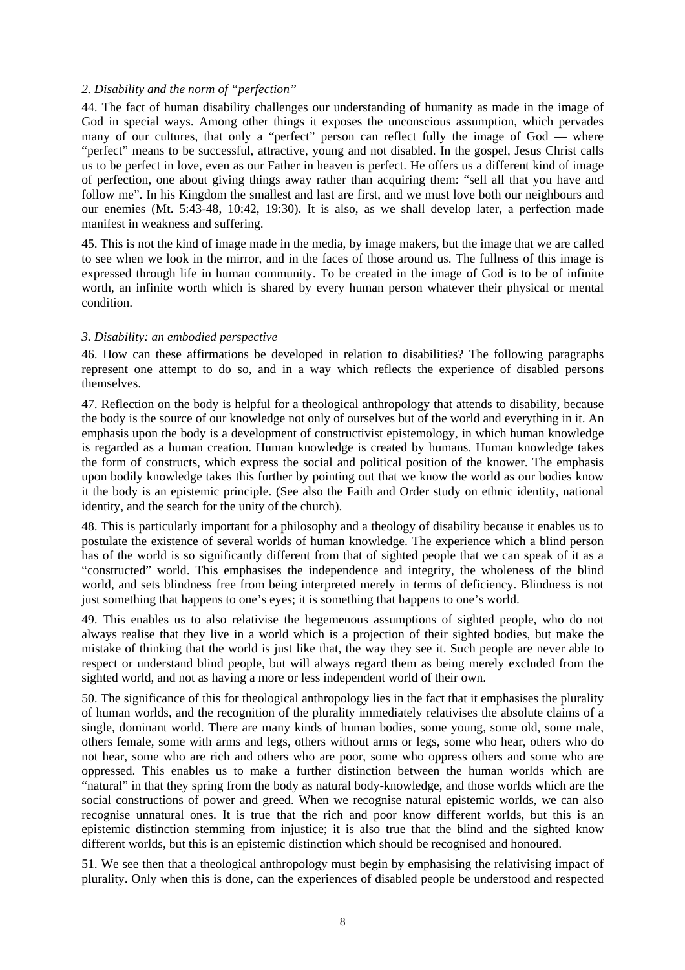## <span id="page-10-0"></span>*2. Disability and the norm of "perfection"*

44. The fact of human disability challenges our understanding of humanity as made in the image of God in special ways. Among other things it exposes the unconscious assumption, which pervades many of our cultures, that only a "perfect" person can reflect fully the image of God — where "perfect" means to be successful, attractive, young and not disabled. In the gospel, Jesus Christ calls us to be perfect in love, even as our Father in heaven is perfect. He offers us a different kind of image of perfection, one about giving things away rather than acquiring them: "sell all that you have and follow me". In his Kingdom the smallest and last are first, and we must love both our neighbours and our enemies (Mt. 5:43-48, 10:42, 19:30). It is also, as we shall develop later, a perfection made manifest in weakness and suffering.

45. This is not the kind of image made in the media, by image makers, but the image that we are called to see when we look in the mirror, and in the faces of those around us. The fullness of this image is expressed through life in human community. To be created in the image of God is to be of infinite worth, an infinite worth which is shared by every human person whatever their physical or mental condition.

#### *3. Disability: an embodied perspective*

46. How can these affirmations be developed in relation to disabilities? The following paragraphs represent one attempt to do so, and in a way which reflects the experience of disabled persons themselves.

47. Reflection on the body is helpful for a theological anthropology that attends to disability, because the body is the source of our knowledge not only of ourselves but of the world and everything in it. An emphasis upon the body is a development of constructivist epistemology, in which human knowledge is regarded as a human creation. Human knowledge is created by humans. Human knowledge takes the form of constructs, which express the social and political position of the knower. The emphasis upon bodily knowledge takes this further by pointing out that we know the world as our bodies know it the body is an epistemic principle. (See also the Faith and Order study on ethnic identity, national identity, and the search for the unity of the church).

48. This is particularly important for a philosophy and a theology of disability because it enables us to postulate the existence of several worlds of human knowledge. The experience which a blind person has of the world is so significantly different from that of sighted people that we can speak of it as a "constructed" world. This emphasises the independence and integrity, the wholeness of the blind world, and sets blindness free from being interpreted merely in terms of deficiency. Blindness is not just something that happens to one's eyes; it is something that happens to one's world.

49. This enables us to also relativise the hegemenous assumptions of sighted people, who do not always realise that they live in a world which is a projection of their sighted bodies, but make the mistake of thinking that the world is just like that, the way they see it. Such people are never able to respect or understand blind people, but will always regard them as being merely excluded from the sighted world, and not as having a more or less independent world of their own.

50. The significance of this for theological anthropology lies in the fact that it emphasises the plurality of human worlds, and the recognition of the plurality immediately relativises the absolute claims of a single, dominant world. There are many kinds of human bodies, some young, some old, some male, others female, some with arms and legs, others without arms or legs, some who hear, others who do not hear, some who are rich and others who are poor, some who oppress others and some who are oppressed. This enables us to make a further distinction between the human worlds which are "natural" in that they spring from the body as natural body-knowledge, and those worlds which are the social constructions of power and greed. When we recognise natural epistemic worlds, we can also recognise unnatural ones. It is true that the rich and poor know different worlds, but this is an epistemic distinction stemming from injustice; it is also true that the blind and the sighted know different worlds, but this is an epistemic distinction which should be recognised and honoured.

51. We see then that a theological anthropology must begin by emphasising the relativising impact of plurality. Only when this is done, can the experiences of disabled people be understood and respected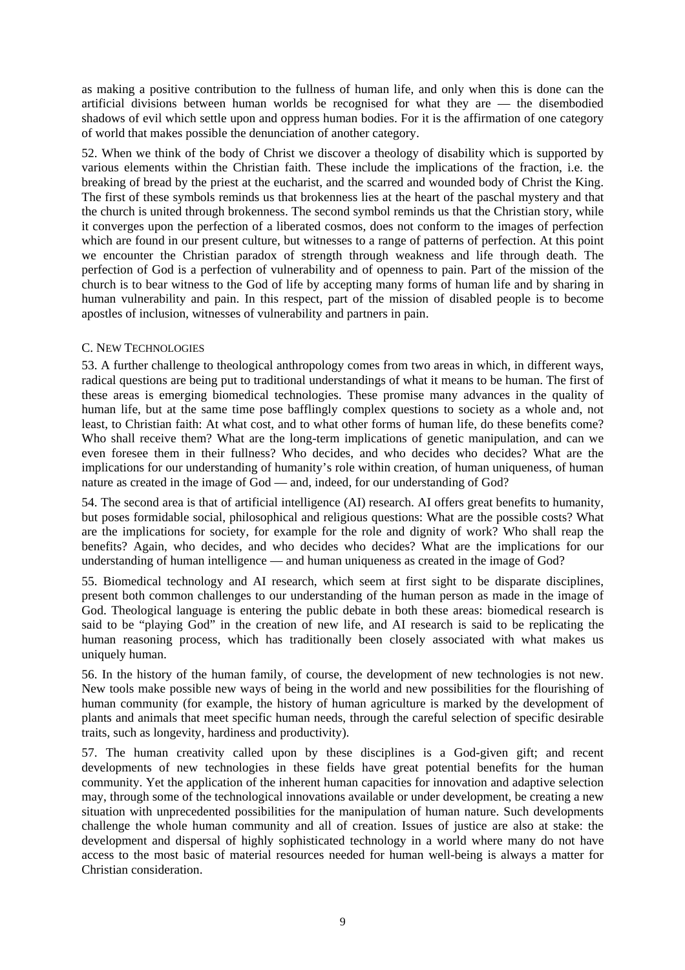<span id="page-11-0"></span>as making a positive contribution to the fullness of human life, and only when this is done can the artificial divisions between human worlds be recognised for what they are — the disembodied shadows of evil which settle upon and oppress human bodies. For it is the affirmation of one category of world that makes possible the denunciation of another category.

52. When we think of the body of Christ we discover a theology of disability which is supported by various elements within the Christian faith. These include the implications of the fraction, i.e. the breaking of bread by the priest at the eucharist, and the scarred and wounded body of Christ the King. The first of these symbols reminds us that brokenness lies at the heart of the paschal mystery and that the church is united through brokenness. The second symbol reminds us that the Christian story, while it converges upon the perfection of a liberated cosmos, does not conform to the images of perfection which are found in our present culture, but witnesses to a range of patterns of perfection. At this point we encounter the Christian paradox of strength through weakness and life through death. The perfection of God is a perfection of vulnerability and of openness to pain. Part of the mission of the church is to bear witness to the God of life by accepting many forms of human life and by sharing in human vulnerability and pain. In this respect, part of the mission of disabled people is to become apostles of inclusion, witnesses of vulnerability and partners in pain.

## C. NEW TECHNOLOGIES

53. A further challenge to theological anthropology comes from two areas in which, in different ways, radical questions are being put to traditional understandings of what it means to be human. The first of these areas is emerging biomedical technologies. These promise many advances in the quality of human life, but at the same time pose bafflingly complex questions to society as a whole and, not least, to Christian faith: At what cost, and to what other forms of human life, do these benefits come? Who shall receive them? What are the long-term implications of genetic manipulation, and can we even foresee them in their fullness? Who decides, and who decides who decides? What are the implications for our understanding of humanity's role within creation, of human uniqueness, of human nature as created in the image of God — and, indeed, for our understanding of God?

54. The second area is that of artificial intelligence (AI) research. AI offers great benefits to humanity, but poses formidable social, philosophical and religious questions: What are the possible costs? What are the implications for society, for example for the role and dignity of work? Who shall reap the benefits? Again, who decides, and who decides who decides? What are the implications for our understanding of human intelligence — and human uniqueness as created in the image of God?

55. Biomedical technology and AI research, which seem at first sight to be disparate disciplines, present both common challenges to our understanding of the human person as made in the image of God. Theological language is entering the public debate in both these areas: biomedical research is said to be "playing God" in the creation of new life, and AI research is said to be replicating the human reasoning process, which has traditionally been closely associated with what makes us uniquely human.

56. In the history of the human family, of course, the development of new technologies is not new. New tools make possible new ways of being in the world and new possibilities for the flourishing of human community (for example, the history of human agriculture is marked by the development of plants and animals that meet specific human needs, through the careful selection of specific desirable traits, such as longevity, hardiness and productivity).

57. The human creativity called upon by these disciplines is a God-given gift; and recent developments of new technologies in these fields have great potential benefits for the human community. Yet the application of the inherent human capacities for innovation and adaptive selection may, through some of the technological innovations available or under development, be creating a new situation with unprecedented possibilities for the manipulation of human nature. Such developments challenge the whole human community and all of creation. Issues of justice are also at stake: the development and dispersal of highly sophisticated technology in a world where many do not have access to the most basic of material resources needed for human well-being is always a matter for Christian consideration.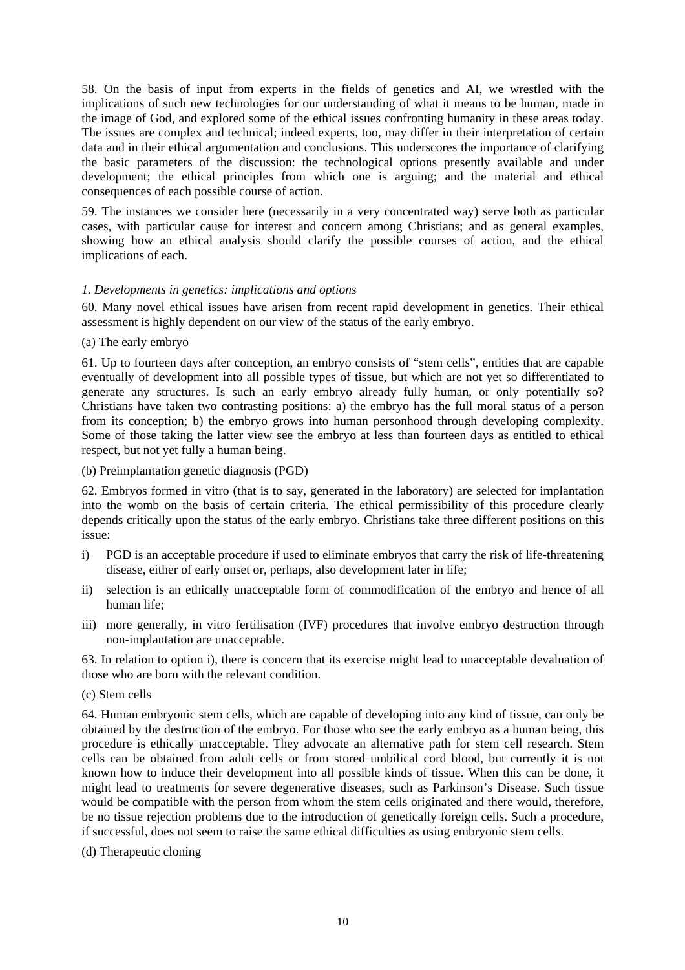<span id="page-12-0"></span>58. On the basis of input from experts in the fields of genetics and AI, we wrestled with the implications of such new technologies for our understanding of what it means to be human, made in the image of God, and explored some of the ethical issues confronting humanity in these areas today. The issues are complex and technical; indeed experts, too, may differ in their interpretation of certain data and in their ethical argumentation and conclusions. This underscores the importance of clarifying the basic parameters of the discussion: the technological options presently available and under development; the ethical principles from which one is arguing; and the material and ethical consequences of each possible course of action.

59. The instances we consider here (necessarily in a very concentrated way) serve both as particular cases, with particular cause for interest and concern among Christians; and as general examples, showing how an ethical analysis should clarify the possible courses of action, and the ethical implications of each.

## *1. Developments in genetics: implications and options*

60. Many novel ethical issues have arisen from recent rapid development in genetics. Their ethical assessment is highly dependent on our view of the status of the early embryo.

(a) The early embryo

61. Up to fourteen days after conception, an embryo consists of "stem cells", entities that are capable eventually of development into all possible types of tissue, but which are not yet so differentiated to generate any structures. Is such an early embryo already fully human, or only potentially so? Christians have taken two contrasting positions: a) the embryo has the full moral status of a person from its conception; b) the embryo grows into human personhood through developing complexity. Some of those taking the latter view see the embryo at less than fourteen days as entitled to ethical respect, but not yet fully a human being.

(b) Preimplantation genetic diagnosis (PGD)

62. Embryos formed in vitro (that is to say, generated in the laboratory) are selected for implantation into the womb on the basis of certain criteria. The ethical permissibility of this procedure clearly depends critically upon the status of the early embryo. Christians take three different positions on this issue:

- i) PGD is an acceptable procedure if used to eliminate embryos that carry the risk of life-threatening disease, either of early onset or, perhaps, also development later in life;
- ii) selection is an ethically unacceptable form of commodification of the embryo and hence of all human life;
- iii) more generally, in vitro fertilisation (IVF) procedures that involve embryo destruction through non-implantation are unacceptable.

63. In relation to option i), there is concern that its exercise might lead to unacceptable devaluation of those who are born with the relevant condition.

(c) Stem cells

64. Human embryonic stem cells, which are capable of developing into any kind of tissue, can only be obtained by the destruction of the embryo. For those who see the early embryo as a human being, this procedure is ethically unacceptable. They advocate an alternative path for stem cell research. Stem cells can be obtained from adult cells or from stored umbilical cord blood, but currently it is not known how to induce their development into all possible kinds of tissue. When this can be done, it might lead to treatments for severe degenerative diseases, such as Parkinson's Disease. Such tissue would be compatible with the person from whom the stem cells originated and there would, therefore, be no tissue rejection problems due to the introduction of genetically foreign cells. Such a procedure, if successful, does not seem to raise the same ethical difficulties as using embryonic stem cells.

(d) Therapeutic cloning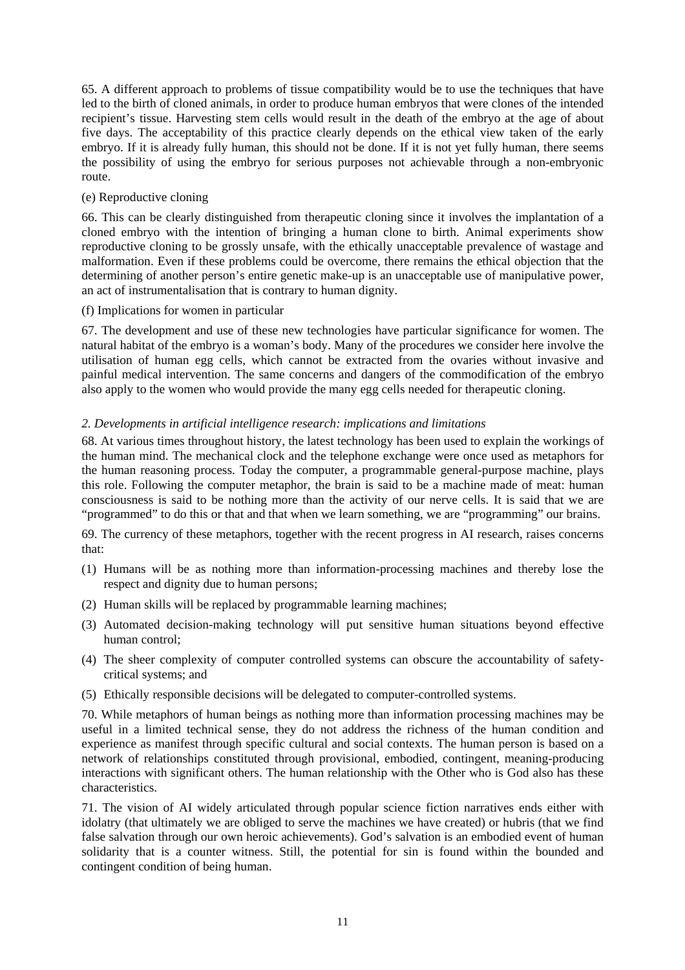<span id="page-13-0"></span>65. A different approach to problems of tissue compatibility would be to use the techniques that have led to the birth of cloned animals, in order to produce human embryos that were clones of the intended recipient's tissue. Harvesting stem cells would result in the death of the embryo at the age of about five days. The acceptability of this practice clearly depends on the ethical view taken of the early embryo. If it is already fully human, this should not be done. If it is not yet fully human, there seems the possibility of using the embryo for serious purposes not achievable through a non-embryonic route.

## (e) Reproductive cloning

66. This can be clearly distinguished from therapeutic cloning since it involves the implantation of a cloned embryo with the intention of bringing a human clone to birth. Animal experiments show reproductive cloning to be grossly unsafe, with the ethically unacceptable prevalence of wastage and malformation. Even if these problems could be overcome, there remains the ethical objection that the determining of another person's entire genetic make-up is an unacceptable use of manipulative power, an act of instrumentalisation that is contrary to human dignity.

## (f) Implications for women in particular

67. The development and use of these new technologies have particular significance for women. The natural habitat of the embryo is a woman's body. Many of the procedures we consider here involve the utilisation of human egg cells, which cannot be extracted from the ovaries without invasive and painful medical intervention. The same concerns and dangers of the commodification of the embryo also apply to the women who would provide the many egg cells needed for therapeutic cloning.

## *2. Developments in artificial intelligence research: implications and limitations*

68. At various times throughout history, the latest technology has been used to explain the workings of the human mind. The mechanical clock and the telephone exchange were once used as metaphors for the human reasoning process. Today the computer, a programmable general-purpose machine, plays this role. Following the computer metaphor, the brain is said to be a machine made of meat: human consciousness is said to be nothing more than the activity of our nerve cells. It is said that we are "programmed" to do this or that and that when we learn something, we are "programming" our brains.

69. The currency of these metaphors, together with the recent progress in AI research, raises concerns that:

- (1) Humans will be as nothing more than information-processing machines and thereby lose the respect and dignity due to human persons;
- (2) Human skills will be replaced by programmable learning machines;
- (3) Automated decision-making technology will put sensitive human situations beyond effective human control;
- (4) The sheer complexity of computer controlled systems can obscure the accountability of safetycritical systems; and
- (5) Ethically responsible decisions will be delegated to computer-controlled systems.

70. While metaphors of human beings as nothing more than information processing machines may be useful in a limited technical sense, they do not address the richness of the human condition and experience as manifest through specific cultural and social contexts. The human person is based on a network of relationships constituted through provisional, embodied, contingent, meaning-producing interactions with significant others. The human relationship with the Other who is God also has these characteristics.

71. The vision of AI widely articulated through popular science fiction narratives ends either with idolatry (that ultimately we are obliged to serve the machines we have created) or hubris (that we find false salvation through our own heroic achievements). God's salvation is an embodied event of human solidarity that is a counter witness. Still, the potential for sin is found within the bounded and contingent condition of being human.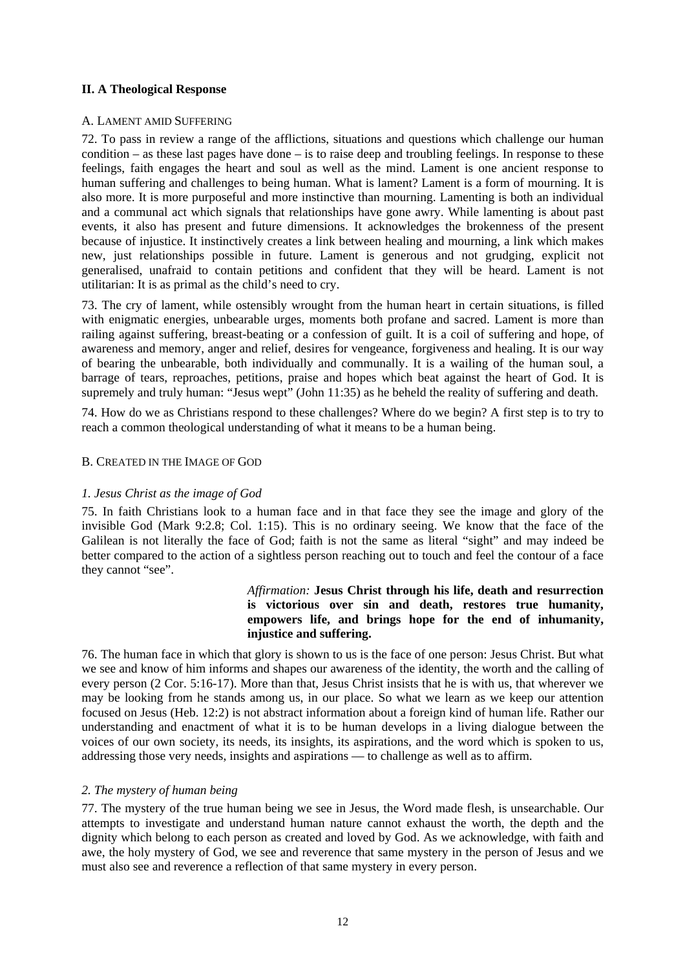## <span id="page-14-0"></span>**II. A Theological Response**

#### A. LAMENT AMID SUFFERING

72. To pass in review a range of the afflictions, situations and questions which challenge our human condition – as these last pages have done – is to raise deep and troubling feelings. In response to these feelings, faith engages the heart and soul as well as the mind. Lament is one ancient response to human suffering and challenges to being human. What is lament? Lament is a form of mourning. It is also more. It is more purposeful and more instinctive than mourning. Lamenting is both an individual and a communal act which signals that relationships have gone awry. While lamenting is about past events, it also has present and future dimensions. It acknowledges the brokenness of the present because of injustice. It instinctively creates a link between healing and mourning, a link which makes new, just relationships possible in future. Lament is generous and not grudging, explicit not generalised, unafraid to contain petitions and confident that they will be heard. Lament is not utilitarian: It is as primal as the child's need to cry.

73. The cry of lament, while ostensibly wrought from the human heart in certain situations, is filled with enigmatic energies, unbearable urges, moments both profane and sacred. Lament is more than railing against suffering, breast-beating or a confession of guilt. It is a coil of suffering and hope, of awareness and memory, anger and relief, desires for vengeance, forgiveness and healing. It is our way of bearing the unbearable, both individually and communally. It is a wailing of the human soul, a barrage of tears, reproaches, petitions, praise and hopes which beat against the heart of God. It is supremely and truly human: "Jesus wept" (John 11:35) as he beheld the reality of suffering and death.

74. How do we as Christians respond to these challenges? Where do we begin? A first step is to try to reach a common theological understanding of what it means to be a human being.

#### B. CREATED IN THE IMAGE OF GOD

## *1. Jesus Christ as the image of God*

75. In faith Christians look to a human face and in that face they see the image and glory of the invisible God (Mark 9:2.8; Col. 1:15). This is no ordinary seeing. We know that the face of the Galilean is not literally the face of God; faith is not the same as literal "sight" and may indeed be better compared to the action of a sightless person reaching out to touch and feel the contour of a face they cannot "see".

## *Affirmation:* **Jesus Christ through his life, death and resurrection is victorious over sin and death, restores true humanity, empowers life, and brings hope for the end of inhumanity, injustice and suffering.**

76. The human face in which that glory is shown to us is the face of one person: Jesus Christ. But what we see and know of him informs and shapes our awareness of the identity, the worth and the calling of every person (2 Cor. 5:16-17). More than that, Jesus Christ insists that he is with us, that wherever we may be looking from he stands among us, in our place. So what we learn as we keep our attention focused on Jesus (Heb. 12:2) is not abstract information about a foreign kind of human life. Rather our understanding and enactment of what it is to be human develops in a living dialogue between the voices of our own society, its needs, its insights, its aspirations, and the word which is spoken to us, addressing those very needs, insights and aspirations — to challenge as well as to affirm.

## *2. The mystery of human being*

77. The mystery of the true human being we see in Jesus, the Word made flesh, is unsearchable. Our attempts to investigate and understand human nature cannot exhaust the worth, the depth and the dignity which belong to each person as created and loved by God. As we acknowledge, with faith and awe, the holy mystery of God, we see and reverence that same mystery in the person of Jesus and we must also see and reverence a reflection of that same mystery in every person.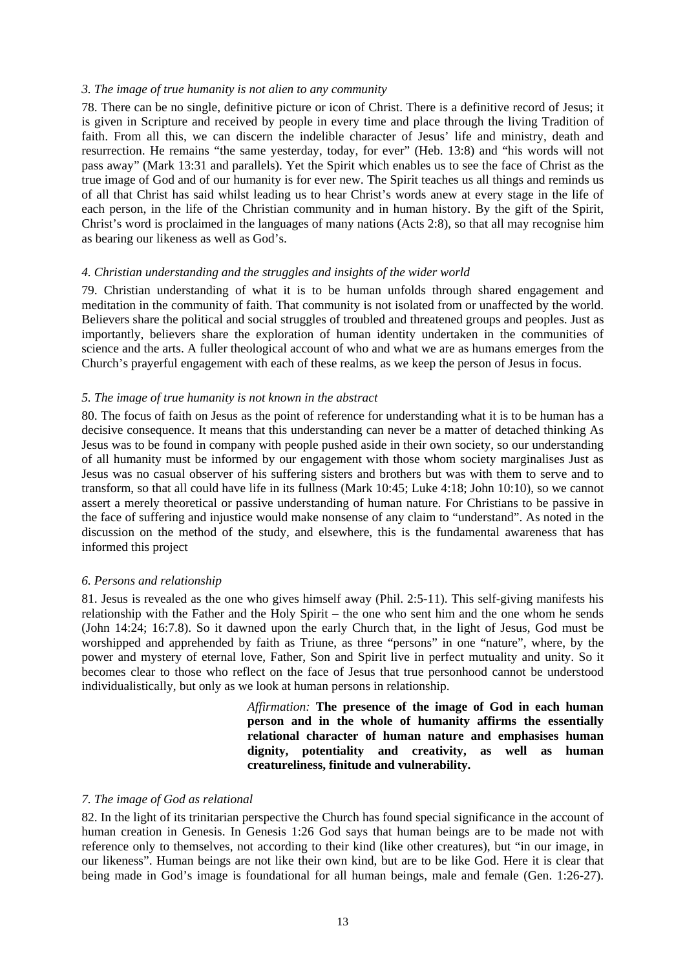#### <span id="page-15-0"></span>*3. The image of true humanity is not alien to any community*

78. There can be no single, definitive picture or icon of Christ. There is a definitive record of Jesus; it is given in Scripture and received by people in every time and place through the living Tradition of faith. From all this, we can discern the indelible character of Jesus' life and ministry, death and resurrection. He remains "the same yesterday, today, for ever" (Heb. 13:8) and "his words will not pass away" (Mark 13:31 and parallels). Yet the Spirit which enables us to see the face of Christ as the true image of God and of our humanity is for ever new. The Spirit teaches us all things and reminds us of all that Christ has said whilst leading us to hear Christ's words anew at every stage in the life of each person, in the life of the Christian community and in human history. By the gift of the Spirit, Christ's word is proclaimed in the languages of many nations (Acts 2:8), so that all may recognise him as bearing our likeness as well as God's.

### *4. Christian understanding and the struggles and insights of the wider world*

79. Christian understanding of what it is to be human unfolds through shared engagement and meditation in the community of faith. That community is not isolated from or unaffected by the world. Believers share the political and social struggles of troubled and threatened groups and peoples. Just as importantly, believers share the exploration of human identity undertaken in the communities of science and the arts. A fuller theological account of who and what we are as humans emerges from the Church's prayerful engagement with each of these realms, as we keep the person of Jesus in focus.

#### *5. The image of true humanity is not known in the abstract*

80. The focus of faith on Jesus as the point of reference for understanding what it is to be human has a decisive consequence. It means that this understanding can never be a matter of detached thinking As Jesus was to be found in company with people pushed aside in their own society, so our understanding of all humanity must be informed by our engagement with those whom society marginalises Just as Jesus was no casual observer of his suffering sisters and brothers but was with them to serve and to transform, so that all could have life in its fullness (Mark 10:45; Luke 4:18; John 10:10), so we cannot assert a merely theoretical or passive understanding of human nature. For Christians to be passive in the face of suffering and injustice would make nonsense of any claim to "understand". As noted in the discussion on the method of the study, and elsewhere, this is the fundamental awareness that has informed this project

## *6. Persons and relationship*

81. Jesus is revealed as the one who gives himself away (Phil. 2:5-11). This self-giving manifests his relationship with the Father and the Holy Spirit – the one who sent him and the one whom he sends (John 14:24; 16:7.8). So it dawned upon the early Church that, in the light of Jesus, God must be worshipped and apprehended by faith as Triune, as three "persons" in one "nature", where, by the power and mystery of eternal love, Father, Son and Spirit live in perfect mutuality and unity. So it becomes clear to those who reflect on the face of Jesus that true personhood cannot be understood individualistically, but only as we look at human persons in relationship.

> *Affirmation:* **The presence of the image of God in each human person and in the whole of humanity affirms the essentially relational character of human nature and emphasises human dignity, potentiality and creativity, as well as human creatureliness, finitude and vulnerability.**

#### *7. The image of God as relational*

82. In the light of its trinitarian perspective the Church has found special significance in the account of human creation in Genesis. In Genesis 1:26 God says that human beings are to be made not with reference only to themselves, not according to their kind (like other creatures), but "in our image, in our likeness". Human beings are not like their own kind, but are to be like God. Here it is clear that being made in God's image is foundational for all human beings, male and female (Gen. 1:26-27).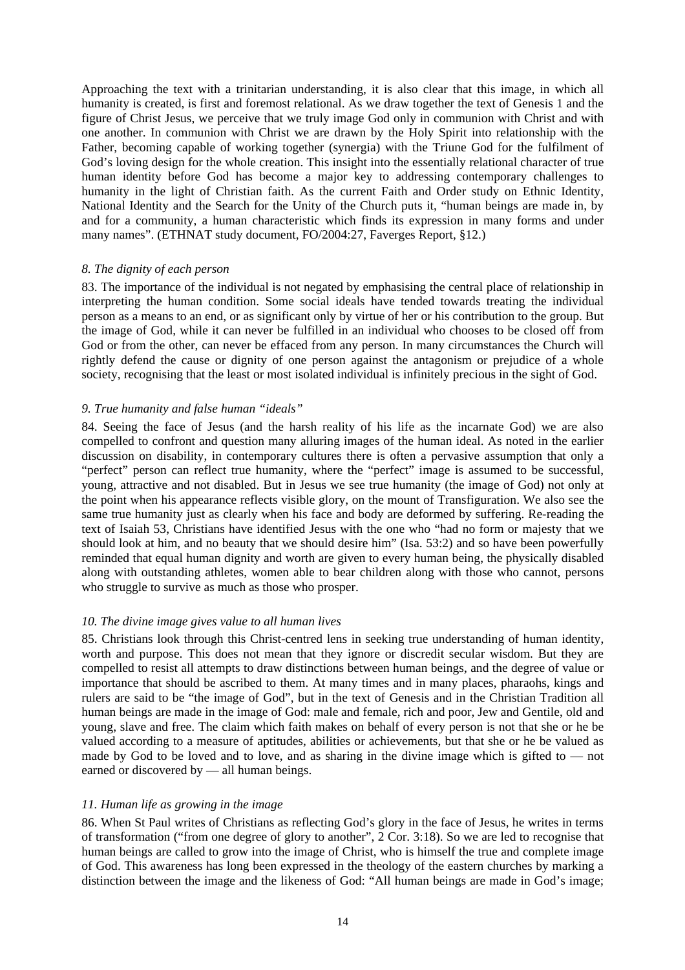<span id="page-16-0"></span>Approaching the text with a trinitarian understanding, it is also clear that this image, in which all humanity is created, is first and foremost relational. As we draw together the text of Genesis 1 and the figure of Christ Jesus, we perceive that we truly image God only in communion with Christ and with one another. In communion with Christ we are drawn by the Holy Spirit into relationship with the Father, becoming capable of working together (synergia) with the Triune God for the fulfilment of God's loving design for the whole creation. This insight into the essentially relational character of true human identity before God has become a major key to addressing contemporary challenges to humanity in the light of Christian faith. As the current Faith and Order study on Ethnic Identity, National Identity and the Search for the Unity of the Church puts it, "human beings are made in, by and for a community, a human characteristic which finds its expression in many forms and under many names". (ETHNAT study document, FO/2004:27, Faverges Report, §12.)

## *8. The dignity of each person*

83. The importance of the individual is not negated by emphasising the central place of relationship in interpreting the human condition. Some social ideals have tended towards treating the individual person as a means to an end, or as significant only by virtue of her or his contribution to the group. But the image of God, while it can never be fulfilled in an individual who chooses to be closed off from God or from the other, can never be effaced from any person. In many circumstances the Church will rightly defend the cause or dignity of one person against the antagonism or prejudice of a whole society, recognising that the least or most isolated individual is infinitely precious in the sight of God.

#### *9. True humanity and false human "ideals"*

84. Seeing the face of Jesus (and the harsh reality of his life as the incarnate God) we are also compelled to confront and question many alluring images of the human ideal. As noted in the earlier discussion on disability, in contemporary cultures there is often a pervasive assumption that only a "perfect" person can reflect true humanity, where the "perfect" image is assumed to be successful, young, attractive and not disabled. But in Jesus we see true humanity (the image of God) not only at the point when his appearance reflects visible glory, on the mount of Transfiguration. We also see the same true humanity just as clearly when his face and body are deformed by suffering. Re-reading the text of Isaiah 53, Christians have identified Jesus with the one who "had no form or majesty that we should look at him, and no beauty that we should desire him" (Isa. 53:2) and so have been powerfully reminded that equal human dignity and worth are given to every human being, the physically disabled along with outstanding athletes, women able to bear children along with those who cannot, persons who struggle to survive as much as those who prosper.

#### *10. The divine image gives value to all human lives*

85. Christians look through this Christ-centred lens in seeking true understanding of human identity, worth and purpose. This does not mean that they ignore or discredit secular wisdom. But they are compelled to resist all attempts to draw distinctions between human beings, and the degree of value or importance that should be ascribed to them. At many times and in many places, pharaohs, kings and rulers are said to be "the image of God", but in the text of Genesis and in the Christian Tradition all human beings are made in the image of God: male and female, rich and poor, Jew and Gentile, old and young, slave and free. The claim which faith makes on behalf of every person is not that she or he be valued according to a measure of aptitudes, abilities or achievements, but that she or he be valued as made by God to be loved and to love, and as sharing in the divine image which is gifted to — not earned or discovered by — all human beings.

#### *11. Human life as growing in the image*

86. When St Paul writes of Christians as reflecting God's glory in the face of Jesus, he writes in terms of transformation ("from one degree of glory to another", 2 Cor. 3:18). So we are led to recognise that human beings are called to grow into the image of Christ, who is himself the true and complete image of God. This awareness has long been expressed in the theology of the eastern churches by marking a distinction between the image and the likeness of God: "All human beings are made in God's image;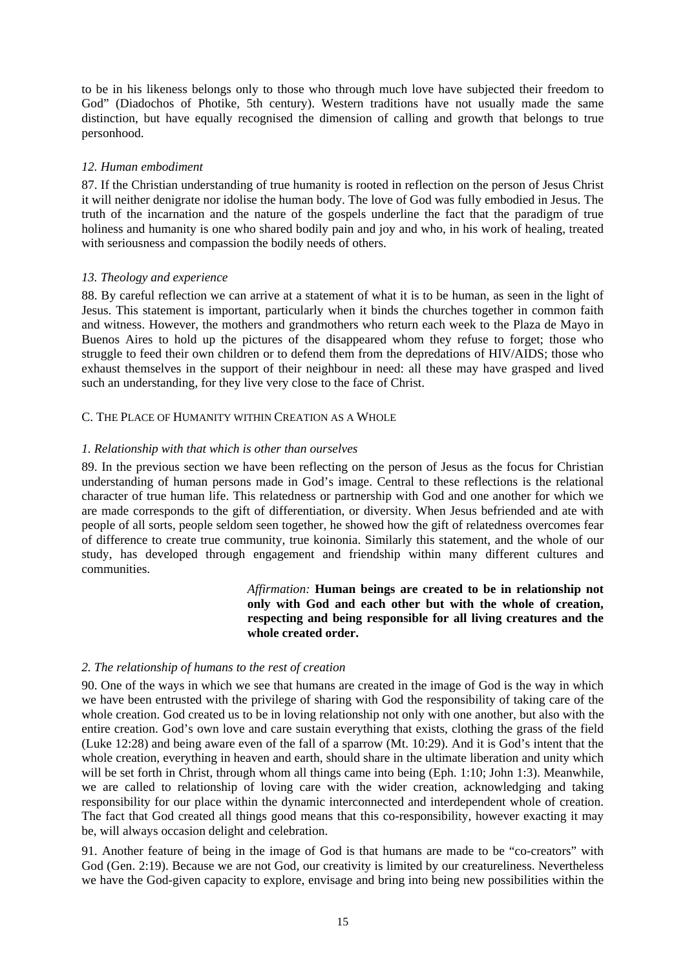<span id="page-17-0"></span>to be in his likeness belongs only to those who through much love have subjected their freedom to God" (Diadochos of Photike, 5th century). Western traditions have not usually made the same distinction, but have equally recognised the dimension of calling and growth that belongs to true personhood.

## *12. Human embodiment*

87. If the Christian understanding of true humanity is rooted in reflection on the person of Jesus Christ it will neither denigrate nor idolise the human body. The love of God was fully embodied in Jesus. The truth of the incarnation and the nature of the gospels underline the fact that the paradigm of true holiness and humanity is one who shared bodily pain and joy and who, in his work of healing, treated with seriousness and compassion the bodily needs of others.

## *13. Theology and experience*

88. By careful reflection we can arrive at a statement of what it is to be human, as seen in the light of Jesus. This statement is important, particularly when it binds the churches together in common faith and witness. However, the mothers and grandmothers who return each week to the Plaza de Mayo in Buenos Aires to hold up the pictures of the disappeared whom they refuse to forget; those who struggle to feed their own children or to defend them from the depredations of HIV/AIDS; those who exhaust themselves in the support of their neighbour in need: all these may have grasped and lived such an understanding, for they live very close to the face of Christ.

## C. THE PLACE OF HUMANITY WITHIN CREATION AS A WHOLE

## *1. Relationship with that which is other than ourselves*

89. In the previous section we have been reflecting on the person of Jesus as the focus for Christian understanding of human persons made in God's image. Central to these reflections is the relational character of true human life. This relatedness or partnership with God and one another for which we are made corresponds to the gift of differentiation, or diversity. When Jesus befriended and ate with people of all sorts, people seldom seen together, he showed how the gift of relatedness overcomes fear of difference to create true community, true koinonia. Similarly this statement, and the whole of our study, has developed through engagement and friendship within many different cultures and communities.

> *Affirmation:* **Human beings are created to be in relationship not only with God and each other but with the whole of creation, respecting and being responsible for all living creatures and the whole created order.**

## *2. The relationship of humans to the rest of creation*

90. One of the ways in which we see that humans are created in the image of God is the way in which we have been entrusted with the privilege of sharing with God the responsibility of taking care of the whole creation. God created us to be in loving relationship not only with one another, but also with the entire creation. God's own love and care sustain everything that exists, clothing the grass of the field (Luke 12:28) and being aware even of the fall of a sparrow (Mt. 10:29). And it is God's intent that the whole creation, everything in heaven and earth, should share in the ultimate liberation and unity which will be set forth in Christ, through whom all things came into being (Eph. 1:10; John 1:3). Meanwhile, we are called to relationship of loving care with the wider creation, acknowledging and taking responsibility for our place within the dynamic interconnected and interdependent whole of creation. The fact that God created all things good means that this co-responsibility, however exacting it may be, will always occasion delight and celebration.

91. Another feature of being in the image of God is that humans are made to be "co-creators" with God (Gen. 2:19). Because we are not God, our creativity is limited by our creatureliness. Nevertheless we have the God-given capacity to explore, envisage and bring into being new possibilities within the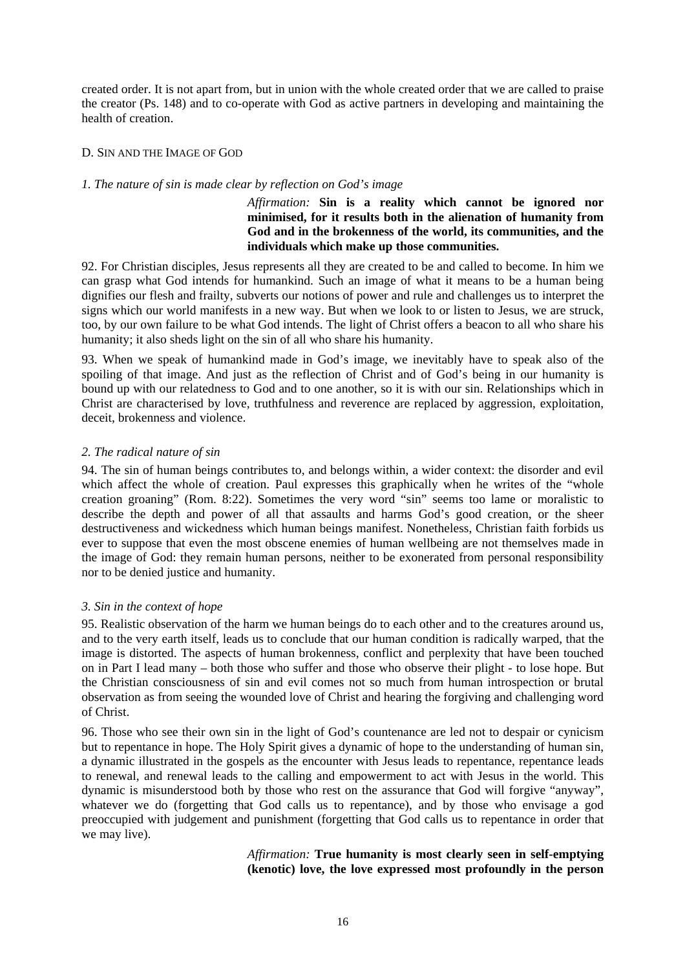<span id="page-18-0"></span>created order. It is not apart from, but in union with the whole created order that we are called to praise the creator (Ps. 148) and to co-operate with God as active partners in developing and maintaining the health of creation.

## D. SIN AND THE IMAGE OF GOD

#### *1. The nature of sin is made clear by reflection on God's image*

*Affirmation:* **Sin is a reality which cannot be ignored nor minimised, for it results both in the alienation of humanity from God and in the brokenness of the world, its communities, and the individuals which make up those communities.**

92. For Christian disciples, Jesus represents all they are created to be and called to become. In him we can grasp what God intends for humankind. Such an image of what it means to be a human being dignifies our flesh and frailty, subverts our notions of power and rule and challenges us to interpret the signs which our world manifests in a new way. But when we look to or listen to Jesus, we are struck, too, by our own failure to be what God intends. The light of Christ offers a beacon to all who share his humanity; it also sheds light on the sin of all who share his humanity.

93. When we speak of humankind made in God's image, we inevitably have to speak also of the spoiling of that image. And just as the reflection of Christ and of God's being in our humanity is bound up with our relatedness to God and to one another, so it is with our sin. Relationships which in Christ are characterised by love, truthfulness and reverence are replaced by aggression, exploitation, deceit, brokenness and violence.

#### *2. The radical nature of sin*

94. The sin of human beings contributes to, and belongs within, a wider context: the disorder and evil which affect the whole of creation. Paul expresses this graphically when he writes of the "whole creation groaning" (Rom. 8:22). Sometimes the very word "sin" seems too lame or moralistic to describe the depth and power of all that assaults and harms God's good creation, or the sheer destructiveness and wickedness which human beings manifest. Nonetheless, Christian faith forbids us ever to suppose that even the most obscene enemies of human wellbeing are not themselves made in the image of God: they remain human persons, neither to be exonerated from personal responsibility nor to be denied justice and humanity.

## *3. Sin in the context of hope*

95. Realistic observation of the harm we human beings do to each other and to the creatures around us, and to the very earth itself, leads us to conclude that our human condition is radically warped, that the image is distorted. The aspects of human brokenness, conflict and perplexity that have been touched on in Part I lead many – both those who suffer and those who observe their plight - to lose hope. But the Christian consciousness of sin and evil comes not so much from human introspection or brutal observation as from seeing the wounded love of Christ and hearing the forgiving and challenging word of Christ.

96. Those who see their own sin in the light of God's countenance are led not to despair or cynicism but to repentance in hope. The Holy Spirit gives a dynamic of hope to the understanding of human sin, a dynamic illustrated in the gospels as the encounter with Jesus leads to repentance, repentance leads to renewal, and renewal leads to the calling and empowerment to act with Jesus in the world. This dynamic is misunderstood both by those who rest on the assurance that God will forgive "anyway", whatever we do (forgetting that God calls us to repentance), and by those who envisage a god preoccupied with judgement and punishment (forgetting that God calls us to repentance in order that we may live).

## *Affirmation:* **True humanity is most clearly seen in self-emptying (kenotic) love, the love expressed most profoundly in the person**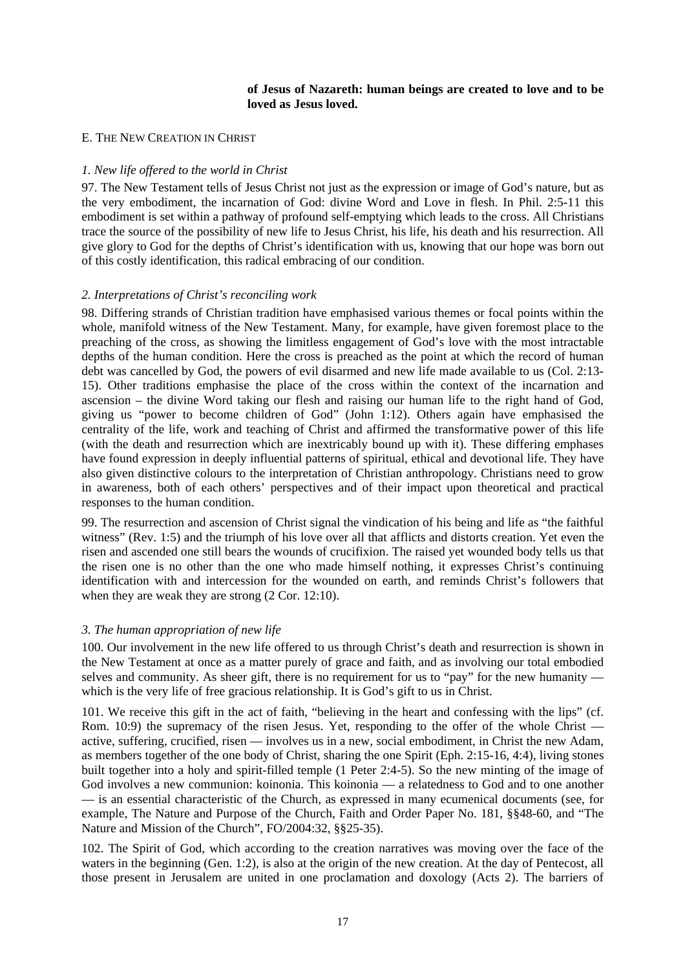### **of Jesus of Nazareth: human beings are created to love and to be loved as Jesus loved.**

#### <span id="page-19-0"></span>E. THE NEW CREATION IN CHRIST

#### *1. New life offered to the world in Christ*

97. The New Testament tells of Jesus Christ not just as the expression or image of God's nature, but as the very embodiment, the incarnation of God: divine Word and Love in flesh. In Phil. 2:5-11 this embodiment is set within a pathway of profound self-emptying which leads to the cross. All Christians trace the source of the possibility of new life to Jesus Christ, his life, his death and his resurrection. All give glory to God for the depths of Christ's identification with us, knowing that our hope was born out of this costly identification, this radical embracing of our condition.

#### *2. Interpretations of Christ's reconciling work*

98. Differing strands of Christian tradition have emphasised various themes or focal points within the whole, manifold witness of the New Testament. Many, for example, have given foremost place to the preaching of the cross, as showing the limitless engagement of God's love with the most intractable depths of the human condition. Here the cross is preached as the point at which the record of human debt was cancelled by God, the powers of evil disarmed and new life made available to us (Col. 2:13- 15). Other traditions emphasise the place of the cross within the context of the incarnation and ascension – the divine Word taking our flesh and raising our human life to the right hand of God, giving us "power to become children of God" (John 1:12). Others again have emphasised the centrality of the life, work and teaching of Christ and affirmed the transformative power of this life (with the death and resurrection which are inextricably bound up with it). These differing emphases have found expression in deeply influential patterns of spiritual, ethical and devotional life. They have also given distinctive colours to the interpretation of Christian anthropology. Christians need to grow in awareness, both of each others' perspectives and of their impact upon theoretical and practical responses to the human condition.

99. The resurrection and ascension of Christ signal the vindication of his being and life as "the faithful witness" (Rev. 1:5) and the triumph of his love over all that afflicts and distorts creation. Yet even the risen and ascended one still bears the wounds of crucifixion. The raised yet wounded body tells us that the risen one is no other than the one who made himself nothing, it expresses Christ's continuing identification with and intercession for the wounded on earth, and reminds Christ's followers that when they are weak they are strong  $(2 \text{ Cor. } 12:10)$ .

## *3. The human appropriation of new life*

100. Our involvement in the new life offered to us through Christ's death and resurrection is shown in the New Testament at once as a matter purely of grace and faith, and as involving our total embodied selves and community. As sheer gift, there is no requirement for us to "pay" for the new humanity which is the very life of free gracious relationship. It is God's gift to us in Christ.

101. We receive this gift in the act of faith, "believing in the heart and confessing with the lips" (cf. Rom. 10:9) the supremacy of the risen Jesus. Yet, responding to the offer of the whole Christ active, suffering, crucified, risen — involves us in a new, social embodiment, in Christ the new Adam, as members together of the one body of Christ, sharing the one Spirit (Eph. 2:15-16, 4:4), living stones built together into a holy and spirit-filled temple (1 Peter 2:4-5). So the new minting of the image of God involves a new communion: koinonia. This koinonia — a relatedness to God and to one another — is an essential characteristic of the Church, as expressed in many ecumenical documents (see, for example, The Nature and Purpose of the Church, Faith and Order Paper No. 181, §§48-60, and "The Nature and Mission of the Church", FO/2004:32, §§25-35).

102. The Spirit of God, which according to the creation narratives was moving over the face of the waters in the beginning (Gen. 1:2), is also at the origin of the new creation. At the day of Pentecost, all those present in Jerusalem are united in one proclamation and doxology (Acts 2). The barriers of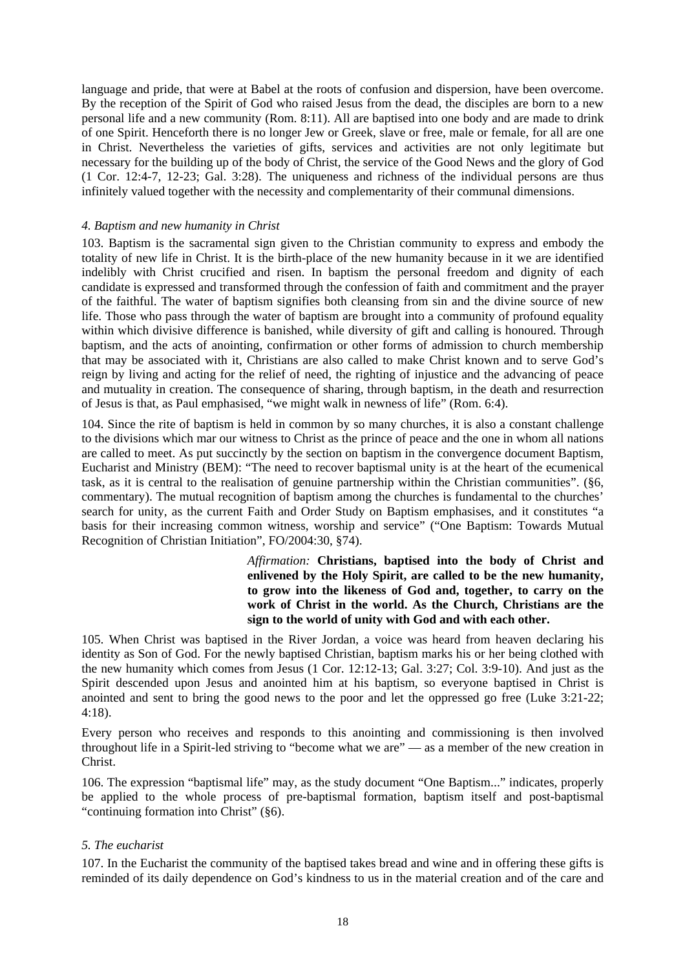<span id="page-20-0"></span>language and pride, that were at Babel at the roots of confusion and dispersion, have been overcome. By the reception of the Spirit of God who raised Jesus from the dead, the disciples are born to a new personal life and a new community (Rom. 8:11). All are baptised into one body and are made to drink of one Spirit. Henceforth there is no longer Jew or Greek, slave or free, male or female, for all are one in Christ. Nevertheless the varieties of gifts, services and activities are not only legitimate but necessary for the building up of the body of Christ, the service of the Good News and the glory of God (1 Cor. 12:4-7, 12-23; Gal. 3:28). The uniqueness and richness of the individual persons are thus infinitely valued together with the necessity and complementarity of their communal dimensions.

## *4. Baptism and new humanity in Christ*

103. Baptism is the sacramental sign given to the Christian community to express and embody the totality of new life in Christ. It is the birth-place of the new humanity because in it we are identified indelibly with Christ crucified and risen. In baptism the personal freedom and dignity of each candidate is expressed and transformed through the confession of faith and commitment and the prayer of the faithful. The water of baptism signifies both cleansing from sin and the divine source of new life. Those who pass through the water of baptism are brought into a community of profound equality within which divisive difference is banished, while diversity of gift and calling is honoured. Through baptism, and the acts of anointing, confirmation or other forms of admission to church membership that may be associated with it, Christians are also called to make Christ known and to serve God's reign by living and acting for the relief of need, the righting of injustice and the advancing of peace and mutuality in creation. The consequence of sharing, through baptism, in the death and resurrection of Jesus is that, as Paul emphasised, "we might walk in newness of life" (Rom. 6:4).

104. Since the rite of baptism is held in common by so many churches, it is also a constant challenge to the divisions which mar our witness to Christ as the prince of peace and the one in whom all nations are called to meet. As put succinctly by the section on baptism in the convergence document Baptism, Eucharist and Ministry (BEM): "The need to recover baptismal unity is at the heart of the ecumenical task, as it is central to the realisation of genuine partnership within the Christian communities". (§6, commentary). The mutual recognition of baptism among the churches is fundamental to the churches' search for unity, as the current Faith and Order Study on Baptism emphasises, and it constitutes "a basis for their increasing common witness, worship and service" ("One Baptism: Towards Mutual Recognition of Christian Initiation", FO/2004:30, §74).

> *Affirmation:* **Christians, baptised into the body of Christ and enlivened by the Holy Spirit, are called to be the new humanity, to grow into the likeness of God and, together, to carry on the work of Christ in the world. As the Church, Christians are the sign to the world of unity with God and with each other.**

105. When Christ was baptised in the River Jordan, a voice was heard from heaven declaring his identity as Son of God. For the newly baptised Christian, baptism marks his or her being clothed with the new humanity which comes from Jesus (1 Cor. 12:12-13; Gal. 3:27; Col. 3:9-10). And just as the Spirit descended upon Jesus and anointed him at his baptism, so everyone baptised in Christ is anointed and sent to bring the good news to the poor and let the oppressed go free (Luke 3:21-22; 4:18).

Every person who receives and responds to this anointing and commissioning is then involved throughout life in a Spirit-led striving to "become what we are" — as a member of the new creation in Christ.

106. The expression "baptismal life" may, as the study document "One Baptism..." indicates, properly be applied to the whole process of pre-baptismal formation, baptism itself and post-baptismal "continuing formation into Christ" (§6).

## *5. The eucharist*

107. In the Eucharist the community of the baptised takes bread and wine and in offering these gifts is reminded of its daily dependence on God's kindness to us in the material creation and of the care and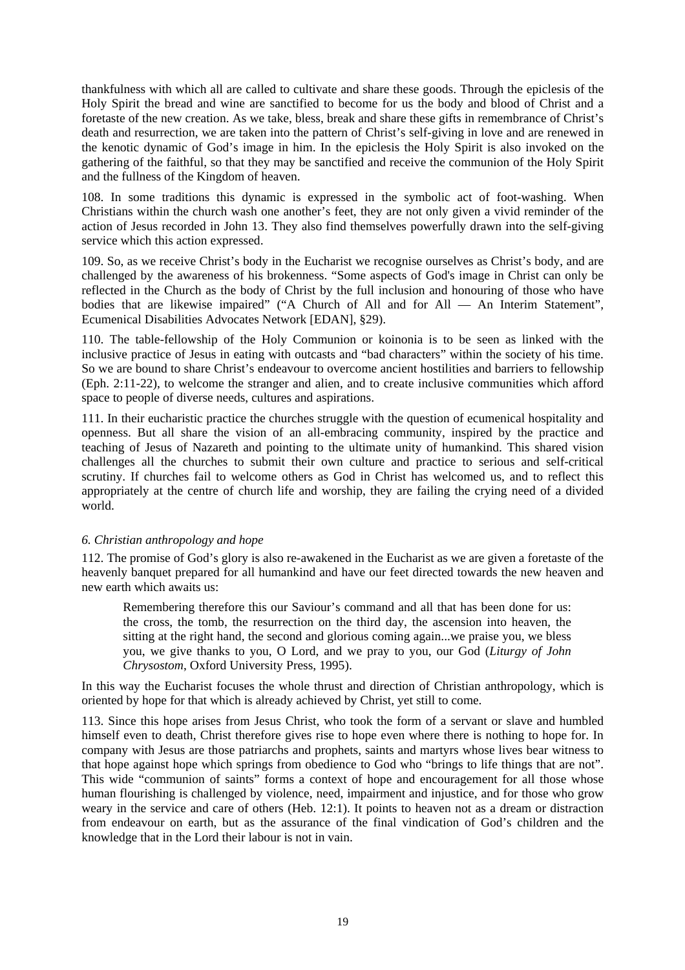<span id="page-21-0"></span>thankfulness with which all are called to cultivate and share these goods. Through the epiclesis of the Holy Spirit the bread and wine are sanctified to become for us the body and blood of Christ and a foretaste of the new creation. As we take, bless, break and share these gifts in remembrance of Christ's death and resurrection, we are taken into the pattern of Christ's self-giving in love and are renewed in the kenotic dynamic of God's image in him. In the epiclesis the Holy Spirit is also invoked on the gathering of the faithful, so that they may be sanctified and receive the communion of the Holy Spirit and the fullness of the Kingdom of heaven.

108. In some traditions this dynamic is expressed in the symbolic act of foot-washing. When Christians within the church wash one another's feet, they are not only given a vivid reminder of the action of Jesus recorded in John 13. They also find themselves powerfully drawn into the self-giving service which this action expressed.

109. So, as we receive Christ's body in the Eucharist we recognise ourselves as Christ's body, and are challenged by the awareness of his brokenness. "Some aspects of God's image in Christ can only be reflected in the Church as the body of Christ by the full inclusion and honouring of those who have bodies that are likewise impaired" ("A Church of All and for All — An Interim Statement", Ecumenical Disabilities Advocates Network [EDAN], §29).

110. The table-fellowship of the Holy Communion or koinonia is to be seen as linked with the inclusive practice of Jesus in eating with outcasts and "bad characters" within the society of his time. So we are bound to share Christ's endeavour to overcome ancient hostilities and barriers to fellowship (Eph. 2:11-22), to welcome the stranger and alien, and to create inclusive communities which afford space to people of diverse needs, cultures and aspirations.

111. In their eucharistic practice the churches struggle with the question of ecumenical hospitality and openness. But all share the vision of an all-embracing community, inspired by the practice and teaching of Jesus of Nazareth and pointing to the ultimate unity of humankind. This shared vision challenges all the churches to submit their own culture and practice to serious and self-critical scrutiny. If churches fail to welcome others as God in Christ has welcomed us, and to reflect this appropriately at the centre of church life and worship, they are failing the crying need of a divided world.

## *6. Christian anthropology and hope*

112. The promise of God's glory is also re-awakened in the Eucharist as we are given a foretaste of the heavenly banquet prepared for all humankind and have our feet directed towards the new heaven and new earth which awaits us:

Remembering therefore this our Saviour's command and all that has been done for us: the cross, the tomb, the resurrection on the third day, the ascension into heaven, the sitting at the right hand, the second and glorious coming again...we praise you, we bless you, we give thanks to you, O Lord, and we pray to you, our God (*Liturgy of John Chrysostom*, Oxford University Press, 1995).

In this way the Eucharist focuses the whole thrust and direction of Christian anthropology, which is oriented by hope for that which is already achieved by Christ, yet still to come.

113. Since this hope arises from Jesus Christ, who took the form of a servant or slave and humbled himself even to death, Christ therefore gives rise to hope even where there is nothing to hope for. In company with Jesus are those patriarchs and prophets, saints and martyrs whose lives bear witness to that hope against hope which springs from obedience to God who "brings to life things that are not". This wide "communion of saints" forms a context of hope and encouragement for all those whose human flourishing is challenged by violence, need, impairment and injustice, and for those who grow weary in the service and care of others (Heb. 12:1). It points to heaven not as a dream or distraction from endeavour on earth, but as the assurance of the final vindication of God's children and the knowledge that in the Lord their labour is not in vain.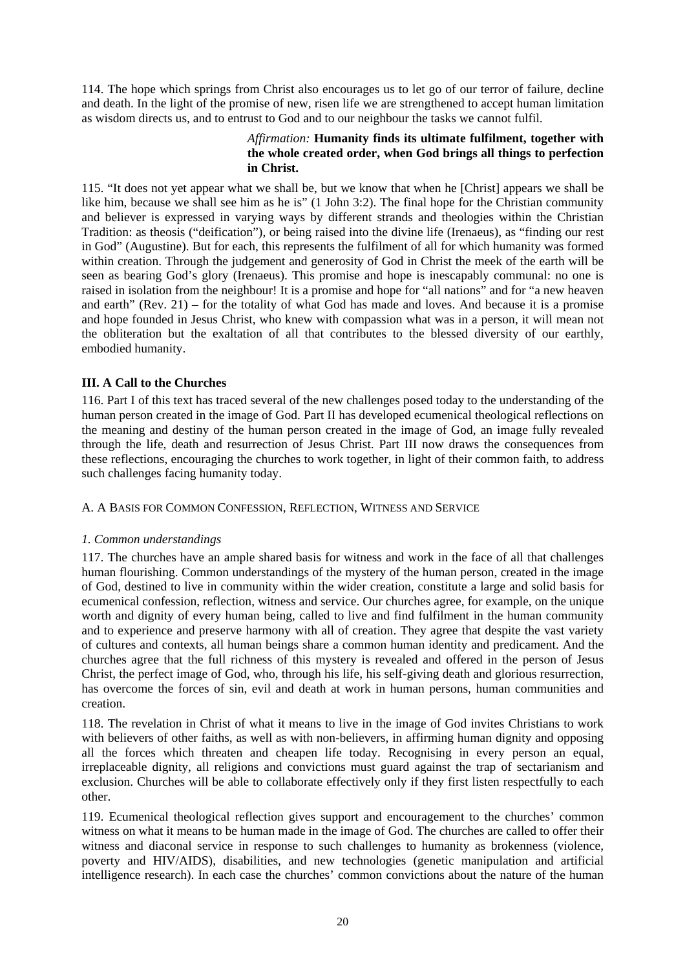<span id="page-22-0"></span>114. The hope which springs from Christ also encourages us to let go of our terror of failure, decline and death. In the light of the promise of new, risen life we are strengthened to accept human limitation as wisdom directs us, and to entrust to God and to our neighbour the tasks we cannot fulfil.

## *Affirmation:* **Humanity finds its ultimate fulfilment, together with the whole created order, when God brings all things to perfection in Christ.**

115. "It does not yet appear what we shall be, but we know that when he [Christ] appears we shall be like him, because we shall see him as he is" (1 John 3:2). The final hope for the Christian community and believer is expressed in varying ways by different strands and theologies within the Christian Tradition: as theosis ("deification"), or being raised into the divine life (Irenaeus), as "finding our rest in God" (Augustine). But for each, this represents the fulfilment of all for which humanity was formed within creation. Through the judgement and generosity of God in Christ the meek of the earth will be seen as bearing God's glory (Irenaeus). This promise and hope is inescapably communal: no one is raised in isolation from the neighbour! It is a promise and hope for "all nations" and for "a new heaven and earth" (Rev. 21) – for the totality of what God has made and loves. And because it is a promise and hope founded in Jesus Christ, who knew with compassion what was in a person, it will mean not the obliteration but the exaltation of all that contributes to the blessed diversity of our earthly, embodied humanity.

## **III. A Call to the Churches**

116. Part I of this text has traced several of the new challenges posed today to the understanding of the human person created in the image of God. Part II has developed ecumenical theological reflections on the meaning and destiny of the human person created in the image of God, an image fully revealed through the life, death and resurrection of Jesus Christ. Part III now draws the consequences from these reflections, encouraging the churches to work together, in light of their common faith, to address such challenges facing humanity today.

## A. A BASIS FOR COMMON CONFESSION, REFLECTION, WITNESS AND SERVICE

## *1. Common understandings*

117. The churches have an ample shared basis for witness and work in the face of all that challenges human flourishing. Common understandings of the mystery of the human person, created in the image of God, destined to live in community within the wider creation, constitute a large and solid basis for ecumenical confession, reflection, witness and service. Our churches agree, for example, on the unique worth and dignity of every human being, called to live and find fulfilment in the human community and to experience and preserve harmony with all of creation. They agree that despite the vast variety of cultures and contexts, all human beings share a common human identity and predicament. And the churches agree that the full richness of this mystery is revealed and offered in the person of Jesus Christ, the perfect image of God, who, through his life, his self-giving death and glorious resurrection, has overcome the forces of sin, evil and death at work in human persons, human communities and creation.

118. The revelation in Christ of what it means to live in the image of God invites Christians to work with believers of other faiths, as well as with non-believers, in affirming human dignity and opposing all the forces which threaten and cheapen life today. Recognising in every person an equal, irreplaceable dignity, all religions and convictions must guard against the trap of sectarianism and exclusion. Churches will be able to collaborate effectively only if they first listen respectfully to each other.

119. Ecumenical theological reflection gives support and encouragement to the churches' common witness on what it means to be human made in the image of God. The churches are called to offer their witness and diaconal service in response to such challenges to humanity as brokenness (violence, poverty and HIV/AIDS), disabilities, and new technologies (genetic manipulation and artificial intelligence research). In each case the churches' common convictions about the nature of the human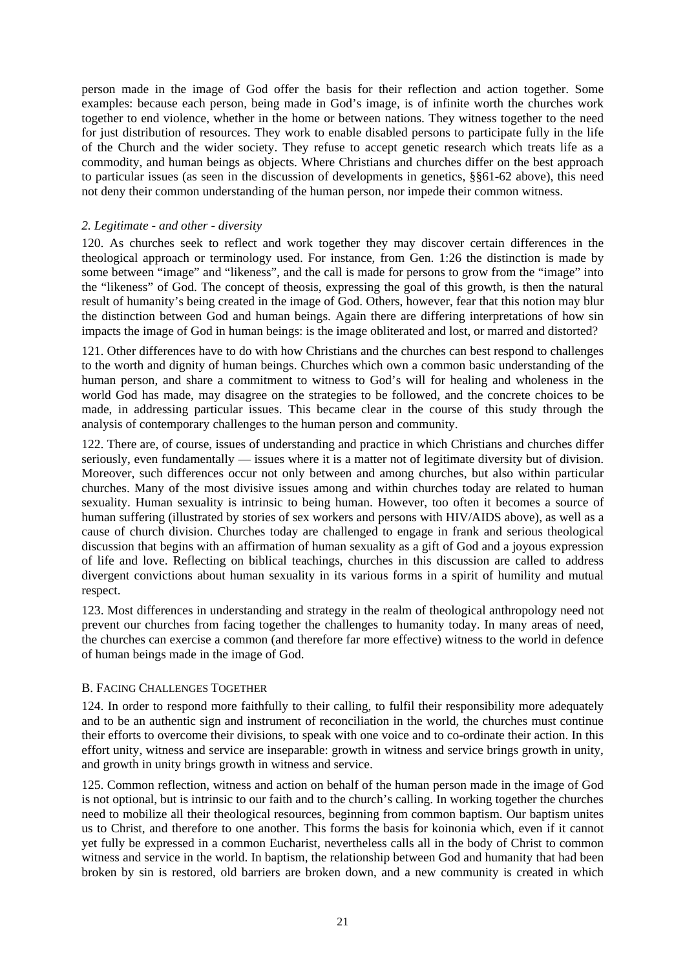<span id="page-23-0"></span>person made in the image of God offer the basis for their reflection and action together. Some examples: because each person, being made in God's image, is of infinite worth the churches work together to end violence, whether in the home or between nations. They witness together to the need for just distribution of resources. They work to enable disabled persons to participate fully in the life of the Church and the wider society. They refuse to accept genetic research which treats life as a commodity, and human beings as objects. Where Christians and churches differ on the best approach to particular issues (as seen in the discussion of developments in genetics, §§61-62 above), this need not deny their common understanding of the human person, nor impede their common witness.

## *2. Legitimate - and other - diversity*

120. As churches seek to reflect and work together they may discover certain differences in the theological approach or terminology used. For instance, from Gen. 1:26 the distinction is made by some between "image" and "likeness", and the call is made for persons to grow from the "image" into the "likeness" of God. The concept of theosis, expressing the goal of this growth, is then the natural result of humanity's being created in the image of God. Others, however, fear that this notion may blur the distinction between God and human beings. Again there are differing interpretations of how sin impacts the image of God in human beings: is the image obliterated and lost, or marred and distorted?

121. Other differences have to do with how Christians and the churches can best respond to challenges to the worth and dignity of human beings. Churches which own a common basic understanding of the human person, and share a commitment to witness to God's will for healing and wholeness in the world God has made, may disagree on the strategies to be followed, and the concrete choices to be made, in addressing particular issues. This became clear in the course of this study through the analysis of contemporary challenges to the human person and community.

122. There are, of course, issues of understanding and practice in which Christians and churches differ seriously, even fundamentally — issues where it is a matter not of legitimate diversity but of division. Moreover, such differences occur not only between and among churches, but also within particular churches. Many of the most divisive issues among and within churches today are related to human sexuality. Human sexuality is intrinsic to being human. However, too often it becomes a source of human suffering (illustrated by stories of sex workers and persons with HIV/AIDS above), as well as a cause of church division. Churches today are challenged to engage in frank and serious theological discussion that begins with an affirmation of human sexuality as a gift of God and a joyous expression of life and love. Reflecting on biblical teachings, churches in this discussion are called to address divergent convictions about human sexuality in its various forms in a spirit of humility and mutual respect.

123. Most differences in understanding and strategy in the realm of theological anthropology need not prevent our churches from facing together the challenges to humanity today. In many areas of need, the churches can exercise a common (and therefore far more effective) witness to the world in defence of human beings made in the image of God.

## B. FACING CHALLENGES TOGETHER

124. In order to respond more faithfully to their calling, to fulfil their responsibility more adequately and to be an authentic sign and instrument of reconciliation in the world, the churches must continue their efforts to overcome their divisions, to speak with one voice and to co-ordinate their action. In this effort unity, witness and service are inseparable: growth in witness and service brings growth in unity, and growth in unity brings growth in witness and service.

125. Common reflection, witness and action on behalf of the human person made in the image of God is not optional, but is intrinsic to our faith and to the church's calling. In working together the churches need to mobilize all their theological resources, beginning from common baptism. Our baptism unites us to Christ, and therefore to one another. This forms the basis for koinonia which, even if it cannot yet fully be expressed in a common Eucharist, nevertheless calls all in the body of Christ to common witness and service in the world. In baptism, the relationship between God and humanity that had been broken by sin is restored, old barriers are broken down, and a new community is created in which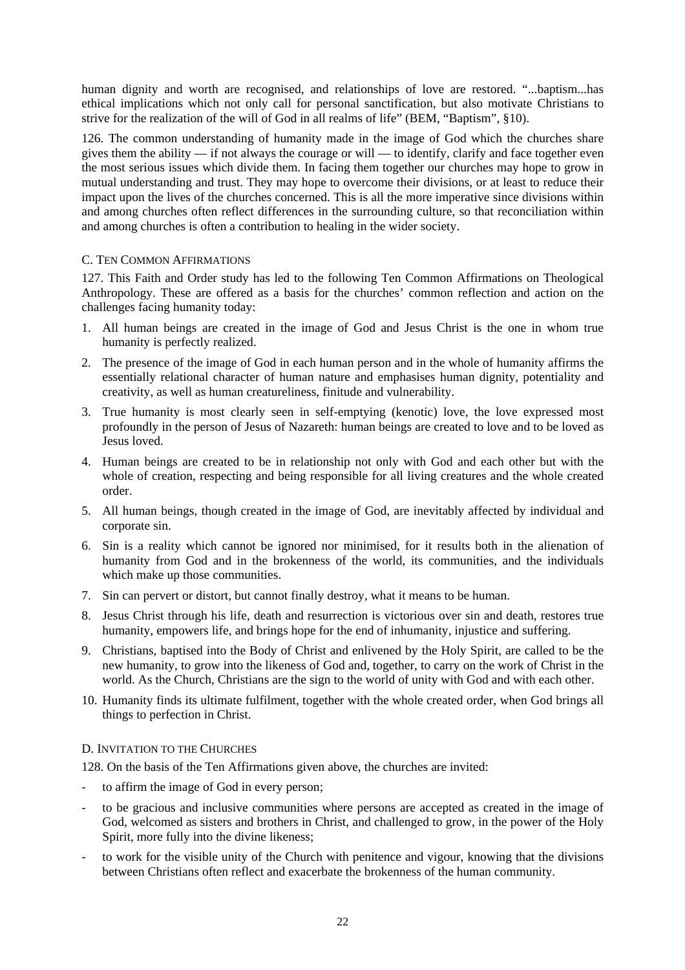<span id="page-24-0"></span>human dignity and worth are recognised, and relationships of love are restored. "...baptism...has ethical implications which not only call for personal sanctification, but also motivate Christians to strive for the realization of the will of God in all realms of life" (BEM, "Baptism", §10).

126. The common understanding of humanity made in the image of God which the churches share gives them the ability — if not always the courage or will — to identify, clarify and face together even the most serious issues which divide them. In facing them together our churches may hope to grow in mutual understanding and trust. They may hope to overcome their divisions, or at least to reduce their impact upon the lives of the churches concerned. This is all the more imperative since divisions within and among churches often reflect differences in the surrounding culture, so that reconciliation within and among churches is often a contribution to healing in the wider society.

## C. TEN COMMON AFFIRMATIONS

127. This Faith and Order study has led to the following Ten Common Affirmations on Theological Anthropology. These are offered as a basis for the churches' common reflection and action on the challenges facing humanity today:

- 1. All human beings are created in the image of God and Jesus Christ is the one in whom true humanity is perfectly realized.
- 2. The presence of the image of God in each human person and in the whole of humanity affirms the essentially relational character of human nature and emphasises human dignity, potentiality and creativity, as well as human creatureliness, finitude and vulnerability.
- 3. True humanity is most clearly seen in self-emptying (kenotic) love, the love expressed most profoundly in the person of Jesus of Nazareth: human beings are created to love and to be loved as Jesus loved.
- 4. Human beings are created to be in relationship not only with God and each other but with the whole of creation, respecting and being responsible for all living creatures and the whole created order.
- 5. All human beings, though created in the image of God, are inevitably affected by individual and corporate sin.
- 6. Sin is a reality which cannot be ignored nor minimised, for it results both in the alienation of humanity from God and in the brokenness of the world, its communities, and the individuals which make up those communities.
- 7. Sin can pervert or distort, but cannot finally destroy, what it means to be human.
- 8. Jesus Christ through his life, death and resurrection is victorious over sin and death, restores true humanity, empowers life, and brings hope for the end of inhumanity, injustice and suffering.
- 9. Christians, baptised into the Body of Christ and enlivened by the Holy Spirit, are called to be the new humanity, to grow into the likeness of God and, together, to carry on the work of Christ in the world. As the Church, Christians are the sign to the world of unity with God and with each other.
- 10. Humanity finds its ultimate fulfilment, together with the whole created order, when God brings all things to perfection in Christ.

## D. INVITATION TO THE CHURCHES

128. On the basis of the Ten Affirmations given above, the churches are invited:

- to affirm the image of God in every person;
- to be gracious and inclusive communities where persons are accepted as created in the image of God, welcomed as sisters and brothers in Christ, and challenged to grow, in the power of the Holy Spirit, more fully into the divine likeness;
- to work for the visible unity of the Church with penitence and vigour, knowing that the divisions between Christians often reflect and exacerbate the brokenness of the human community.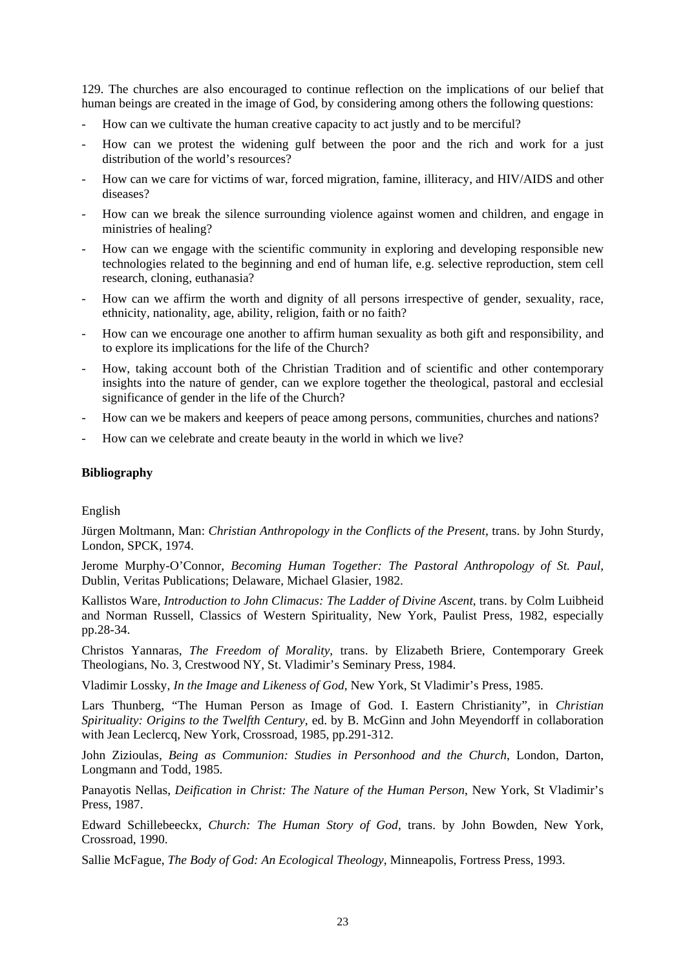<span id="page-25-0"></span>129. The churches are also encouraged to continue reflection on the implications of our belief that human beings are created in the image of God, by considering among others the following questions:

- How can we cultivate the human creative capacity to act justly and to be merciful?
- How can we protest the widening gulf between the poor and the rich and work for a just distribution of the world's resources?
- How can we care for victims of war, forced migration, famine, illiteracy, and HIV/AIDS and other diseases?
- How can we break the silence surrounding violence against women and children, and engage in ministries of healing?
- How can we engage with the scientific community in exploring and developing responsible new technologies related to the beginning and end of human life, e.g. selective reproduction, stem cell research, cloning, euthanasia?
- How can we affirm the worth and dignity of all persons irrespective of gender, sexuality, race, ethnicity, nationality, age, ability, religion, faith or no faith?
- How can we encourage one another to affirm human sexuality as both gift and responsibility, and to explore its implications for the life of the Church?
- How, taking account both of the Christian Tradition and of scientific and other contemporary insights into the nature of gender, can we explore together the theological, pastoral and ecclesial significance of gender in the life of the Church?
- How can we be makers and keepers of peace among persons, communities, churches and nations?
- How can we celebrate and create beauty in the world in which we live?

#### **Bibliography**

## English

Jürgen Moltmann, Man: *Christian Anthropology in the Conflicts of the Present*, trans. by John Sturdy, London, SPCK, 1974.

Jerome Murphy-O'Connor, *Becoming Human Together: The Pastoral Anthropology of St. Paul*, Dublin, Veritas Publications; Delaware, Michael Glasier, 1982.

Kallistos Ware, *Introduction to John Climacus: The Ladder of Divine Ascent*, trans. by Colm Luibheid and Norman Russell, Classics of Western Spirituality, New York, Paulist Press, 1982, especially pp.28-34.

Christos Yannaras, *The Freedom of Morality*, trans. by Elizabeth Briere, Contemporary Greek Theologians, No. 3, Crestwood NY, St. Vladimir's Seminary Press, 1984.

Vladimir Lossky, *In the Image and Likeness of God*, New York, St Vladimir's Press, 1985.

Lars Thunberg, "The Human Person as Image of God. I. Eastern Christianity", in *Christian Spirituality: Origins to the Twelfth Century*, ed. by B. McGinn and John Meyendorff in collaboration with Jean Leclercq, New York, Crossroad, 1985, pp.291-312.

John Zizioulas, *Being as Communion: Studies in Personhood and the Church*, London, Darton, Longmann and Todd, 1985.

Panayotis Nellas, *Deification in Christ: The Nature of the Human Person*, New York, St Vladimir's Press, 1987.

Edward Schillebeeckx, *Church: The Human Story of God*, trans. by John Bowden, New York, Crossroad, 1990.

Sallie McFague, *The Body of God: An Ecological Theology*, Minneapolis, Fortress Press, 1993.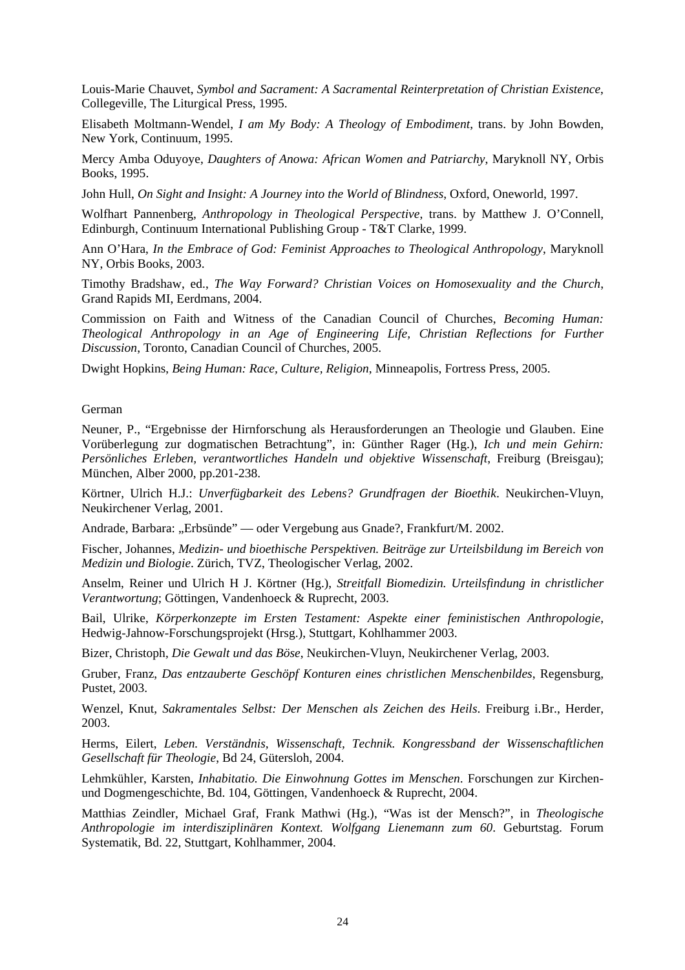Louis-Marie Chauvet, *Symbol and Sacrament: A Sacramental Reinterpretation of Christian Existence*, Collegeville, The Liturgical Press, 1995.

Elisabeth Moltmann-Wendel, *I am My Body: A Theology of Embodiment*, trans. by John Bowden, New York, Continuum, 1995.

Mercy Amba Oduyoye, *Daughters of Anowa: African Women and Patriarchy*, Maryknoll NY, Orbis Books, 1995.

John Hull, *On Sight and Insight: A Journey into the World of Blindness*, Oxford, Oneworld, 1997.

Wolfhart Pannenberg, *Anthropology in Theological Perspective*, trans. by Matthew J. O'Connell, Edinburgh, Continuum International Publishing Group - T&T Clarke, 1999.

Ann O'Hara, *In the Embrace of God: Feminist Approaches to Theological Anthropology*, Maryknoll NY, Orbis Books, 2003.

Timothy Bradshaw, ed., *The Way Forward? Christian Voices on Homosexuality and the Church*, Grand Rapids MI, Eerdmans, 2004.

Commission on Faith and Witness of the Canadian Council of Churches, *Becoming Human: Theological Anthropology in an Age of Engineering Life, Christian Reflections for Further Discussion*, Toronto, Canadian Council of Churches, 2005.

Dwight Hopkins, *Being Human: Race, Culture, Religion*, Minneapolis, Fortress Press, 2005.

German

Neuner, P., "Ergebnisse der Hirnforschung als Herausforderungen an Theologie und Glauben. Eine Vorüberlegung zur dogmatischen Betrachtung", in: Günther Rager (Hg.), *Ich und mein Gehirn: Persönliches Erleben, verantwortliches Handeln und objektive Wissenschaft*, Freiburg (Breisgau); München, Alber 2000, pp.201-238.

Körtner, Ulrich H.J.: *Unverfügbarkeit des Lebens? Grundfragen der Bioethik*. Neukirchen-Vluyn, Neukirchener Verlag, 2001.

Andrade, Barbara: "Erbsünde" — oder Vergebung aus Gnade?, Frankfurt/M. 2002.

Fischer, Johannes, *Medizin- und bioethische Perspektiven. Beiträge zur Urteilsbildung im Bereich von Medizin und Biologie*. Zürich, TVZ, Theologischer Verlag, 2002.

Anselm, Reiner und Ulrich H J. Körtner (Hg.), *Streitfall Biomedizin. Urteilsfindung in christlicher Verantwortung*; Göttingen, Vandenhoeck & Ruprecht, 2003.

Bail, Ulrike, *Körperkonzepte im Ersten Testament: Aspekte einer feministischen Anthropologie*, Hedwig-Jahnow-Forschungsprojekt (Hrsg.), Stuttgart, Kohlhammer 2003.

Bizer, Christoph, *Die Gewalt und das Böse*, Neukirchen-Vluyn, Neukirchener Verlag, 2003.

Gruber, Franz, *Das entzauberte Geschöpf Konturen eines christlichen Menschenbildes*, Regensburg, Pustet, 2003.

Wenzel, Knut, *Sakramentales Selbst: Der Menschen als Zeichen des Heils*. Freiburg i.Br., Herder, 2003.

Herms, Eilert, *Leben. Verständnis, Wissenschaft, Technik. Kongressband der Wissenschaftlichen Gesellschaft für Theologie*, Bd 24, Gütersloh, 2004.

Lehmkühler, Karsten, *Inhabitatio. Die Einwohnung Gottes im Menschen*. Forschungen zur Kirchenund Dogmengeschichte, Bd. 104, Göttingen, Vandenhoeck & Ruprecht, 2004.

Matthias Zeindler, Michael Graf, Frank Mathwi (Hg.), "Was ist der Mensch?", in *Theologische Anthropologie im interdisziplinären Kontext. Wolfgang Lienemann zum 60*. Geburtstag. Forum Systematik, Bd. 22, Stuttgart, Kohlhammer, 2004.